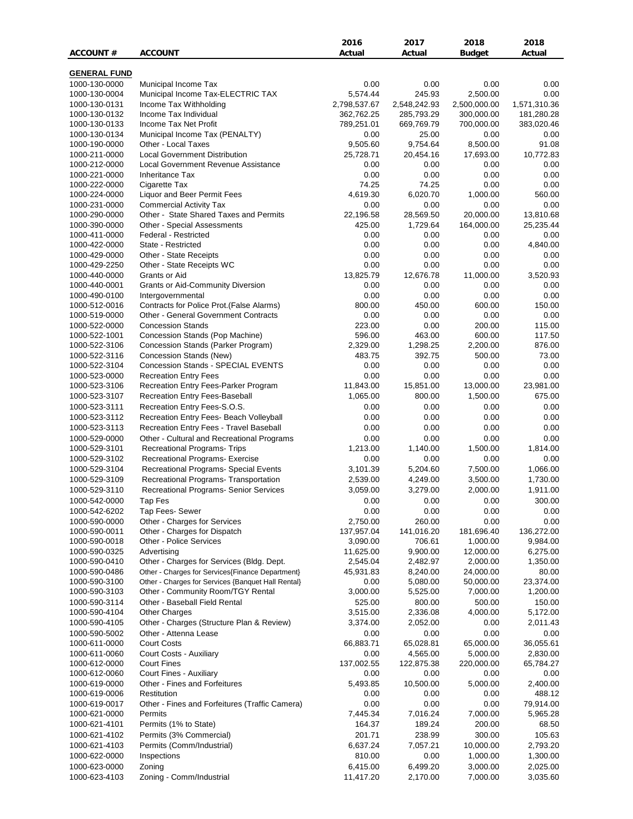|                     |                                                    | 2016         | 2017         | 2018          | 2018         |
|---------------------|----------------------------------------------------|--------------|--------------|---------------|--------------|
| <b>ACCOUNT #</b>    | <b>ACCOUNT</b>                                     | Actual       | Actual       | <b>Budget</b> | Actual       |
|                     |                                                    |              |              |               |              |
| <b>GENERAL FUND</b> |                                                    |              |              |               |              |
| 1000-130-0000       | Municipal Income Tax                               | 0.00         | 0.00         | 0.00          | 0.00         |
| 1000-130-0004       | Municipal Income Tax-ELECTRIC TAX                  | 5,574.44     | 245.93       | 2,500.00      | 0.00         |
| 1000-130-0131       | Income Tax Withholding                             | 2,798,537.67 | 2,548,242.93 | 2,500,000.00  | 1,571,310.36 |
| 1000-130-0132       | Income Tax Individual                              | 362,762.25   | 285,793.29   | 300,000.00    | 181,280.28   |
| 1000-130-0133       | Income Tax Net Profit                              | 789,251.01   | 669,769.79   | 700,000.00    | 383,020.46   |
| 1000-130-0134       | Municipal Income Tax (PENALTY)                     | 0.00         | 25.00        | 0.00          | 0.00         |
| 1000-190-0000       | Other - Local Taxes                                | 9,505.60     | 9,754.64     | 8,500.00      | 91.08        |
| 1000-211-0000       | <b>Local Government Distribution</b>               | 25,728.71    | 20,454.16    | 17,693.00     | 10,772.83    |
| 1000-212-0000       | Local Government Revenue Assistance                | 0.00         | 0.00         | 0.00          | 0.00         |
| 1000-221-0000       | <b>Inheritance Tax</b>                             | 0.00         | 0.00         | 0.00          | 0.00         |
| 1000-222-0000       | Cigarette Tax                                      | 74.25        | 74.25        | 0.00          | 0.00         |
| 1000-224-0000       | Liquor and Beer Permit Fees                        | 4,619.30     | 6,020.70     | 1,000.00      | 560.00       |
| 1000-231-0000       | <b>Commercial Activity Tax</b>                     | 0.00         | 0.00         | 0.00          | 0.00         |
| 1000-290-0000       | Other - State Shared Taxes and Permits             | 22,196.58    | 28,569.50    | 20,000.00     | 13,810.68    |
| 1000-390-0000       | Other - Special Assessments                        | 425.00       | 1,729.64     | 164,000.00    | 25,235.44    |
| 1000-411-0000       | Federal - Restricted                               | 0.00         | 0.00         | 0.00          | 0.00         |
| 1000-422-0000       | State - Restricted                                 | 0.00         | 0.00         | 0.00          | 4,840.00     |
| 1000-429-0000       | Other - State Receipts                             | 0.00         | 0.00         | 0.00          | 0.00         |
| 1000-429-2250       | Other - State Receipts WC                          | 0.00         | 0.00         | 0.00          | 0.00         |
| 1000-440-0000       | Grants or Aid                                      | 13,825.79    | 12,676.78    | 11,000.00     | 3,520.93     |
| 1000-440-0001       | <b>Grants or Aid-Community Diversion</b>           | 0.00         | 0.00         | 0.00          | 0.00         |
| 1000-490-0100       | Intergovernmental                                  | 0.00         | 0.00         | 0.00          | 0.00         |
| 1000-512-0016       | Contracts for Police Prot. (False Alarms)          | 800.00       | 450.00       | 600.00        | 150.00       |
| 1000-519-0000       | <b>Other - General Government Contracts</b>        | 0.00         | 0.00         | 0.00          | 0.00         |
| 1000-522-0000       | <b>Concession Stands</b>                           | 223.00       | 0.00         | 200.00        | 115.00       |
| 1000-522-1001       | Concession Stands (Pop Machine)                    | 596.00       | 463.00       | 600.00        | 117.50       |
| 1000-522-3106       | Concession Stands (Parker Program)                 | 2,329.00     | 1,298.25     | 2,200.00      | 876.00       |
| 1000-522-3116       | Concession Stands (New)                            | 483.75       | 392.75       | 500.00        | 73.00        |
| 1000-522-3104       | Concession Stands - SPECIAL EVENTS                 | 0.00         | 0.00         | 0.00          | 0.00         |
| 1000-523-0000       | <b>Recreation Entry Fees</b>                       | 0.00         | 0.00         | 0.00          | 0.00         |
| 1000-523-3106       | Recreation Entry Fees-Parker Program               | 11,843.00    | 15,851.00    | 13,000.00     | 23,981.00    |
| 1000-523-3107       | Recreation Entry Fees-Baseball                     | 1,065.00     | 800.00       | 1,500.00      | 675.00       |
| 1000-523-3111       | Recreation Entry Fees-S.O.S.                       | 0.00         | 0.00         | 0.00          | 0.00         |
| 1000-523-3112       | Recreation Entry Fees- Beach Volleyball            | 0.00         | 0.00         | 0.00          | 0.00         |
| 1000-523-3113       | Recreation Entry Fees - Travel Baseball            | 0.00         | 0.00         | 0.00          | 0.00         |
| 1000-529-0000       | Other - Cultural and Recreational Programs         | 0.00         | 0.00         | 0.00          | 0.00         |
| 1000-529-3101       | <b>Recreational Programs- Trips</b>                | 1,213.00     | 1,140.00     | 1,500.00      | 1,814.00     |
|                     |                                                    |              |              |               |              |
| 1000-529-3102       | Recreational Programs- Exercise                    | 0.00         | 0.00         | 0.00          | 0.00         |
| 1000-529-3104       | Recreational Programs- Special Events              | 3,101.39     | 5,204.60     | 7,500.00      | 1,066.00     |
| 1000-529-3109       | Recreational Programs- Transportation              | 2,539.00     | 4,249.00     | 3,500.00      | 1,730.00     |
| 1000-529-3110       | Recreational Programs- Senior Services             | 3,059.00     | 3,279.00     | 2,000.00      | 1,911.00     |
| 1000-542-0000       | Tap Fes                                            | 0.00         | 0.00         | 0.00          | 300.00       |
| 1000-542-6202       | Tap Fees- Sewer                                    | 0.00         | 0.00         | 0.00          | 0.00         |
| 1000-590-0000       | Other - Charges for Services                       | 2,750.00     | 260.00       | 0.00          | 0.00         |
| 1000-590-0011       | Other - Charges for Dispatch                       | 137,957.04   | 141,016.20   | 181,696.40    | 136,272.00   |
| 1000-590-0018       | Other - Police Services                            | 3,090.00     | 706.61       | 1,000.00      | 9,984.00     |
| 1000-590-0325       | Advertising                                        | 11,625.00    | 9,900.00     | 12,000.00     | 6,275.00     |
| 1000-590-0410       | Other - Charges for Services (Bldg. Dept.          | 2,545.04     | 2,482.97     | 2,000.00      | 1,350.00     |
| 1000-590-0486       | Other - Charges for Services{Finance Department}   | 45,931.83    | 8,240.00     | 24,000.00     | 80.00        |
| 1000-590-3100       | Other - Charges for Services {Banquet Hall Rental} | 0.00         | 5,080.00     | 50,000.00     | 23,374.00    |
| 1000-590-3103       | Other - Community Room/TGY Rental                  | 3,000.00     | 5,525.00     | 7,000.00      | 1,200.00     |
| 1000-590-3114       | Other - Baseball Field Rental                      | 525.00       | 800.00       | 500.00        | 150.00       |
| 1000-590-4104       | <b>Other Charges</b>                               | 3,515.00     | 2,336.08     | 4,000.00      | 5,172.00     |
| 1000-590-4105       | Other - Charges (Structure Plan & Review)          | 3,374.00     | 2,052.00     | 0.00          | 2,011.43     |
| 1000-590-5002       | Other - Attenna Lease                              | 0.00         | 0.00         | 0.00          | 0.00         |
| 1000-611-0000       | <b>Court Costs</b>                                 | 66,883.71    | 65,028.81    | 65,000.00     | 36,055.61    |
| 1000-611-0060       | Court Costs - Auxiliary                            | 0.00         | 4,565.00     | 5,000.00      | 2,830.00     |
| 1000-612-0000       | <b>Court Fines</b>                                 | 137,002.55   | 122,875.38   | 220,000.00    | 65,784.27    |
| 1000-612-0060       | Court Fines - Auxiliary                            | 0.00         | 0.00         | 0.00          | 0.00         |
| 1000-619-0000       | Other - Fines and Forfeitures                      | 5,493.85     | 10,500.00    | 5,000.00      | 2,400.00     |
| 1000-619-0006       | Restitution                                        | 0.00         | 0.00         | 0.00          | 488.12       |
| 1000-619-0017       | Other - Fines and Forfeitures (Traffic Camera)     | 0.00         | 0.00         | 0.00          | 79,914.00    |
| 1000-621-0000       | Permits                                            | 7,445.34     | 7,016.24     | 7,000.00      | 5,965.28     |
| 1000-621-4101       | Permits (1% to State)                              | 164.37       | 189.24       | 200.00        | 68.50        |
| 1000-621-4102       | Permits (3% Commercial)                            | 201.71       | 238.99       | 300.00        | 105.63       |
| 1000-621-4103       | Permits (Comm/Industrial)                          | 6,637.24     | 7,057.21     | 10,000.00     | 2,793.20     |
| 1000-622-0000       | Inspections                                        | 810.00       | 0.00         | 1,000.00      | 1,300.00     |
| 1000-623-0000       | Zoning                                             | 6,415.00     | 6,499.20     | 3,000.00      | 2,025.00     |
| 1000-623-4103       | Zoning - Comm/Industrial                           | 11,417.20    | 2,170.00     | 7,000.00      | 3,035.60     |
|                     |                                                    |              |              |               |              |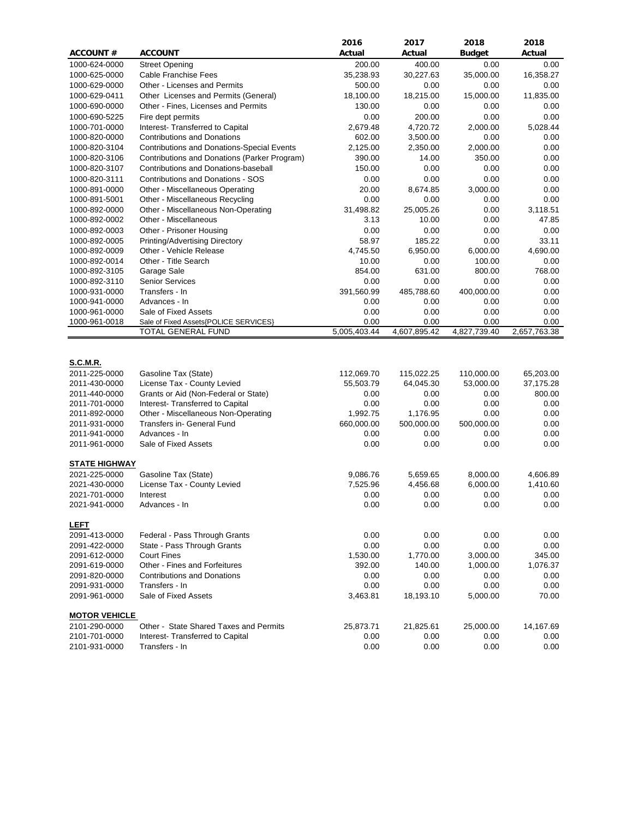|                      |                                                   | 2016         | 2017         | 2018          | 2018         |
|----------------------|---------------------------------------------------|--------------|--------------|---------------|--------------|
| <b>ACCOUNT#</b>      | <b>ACCOUNT</b>                                    | Actual       | Actual       | <b>Budget</b> | Actual       |
| 1000-624-0000        | <b>Street Opening</b>                             | 200.00       | 400.00       | 0.00          | 0.00         |
| 1000-625-0000        | Cable Franchise Fees                              | 35,238.93    | 30,227.63    | 35,000.00     | 16,358.27    |
| 1000-629-0000        | Other - Licenses and Permits                      | 500.00       | 0.00         | 0.00          | 0.00         |
| 1000-629-0411        | Other Licenses and Permits (General)              | 18,100.00    | 18,215.00    | 15,000.00     | 11,835.00    |
| 1000-690-0000        | Other - Fines, Licenses and Permits               | 130.00       | 0.00         | 0.00          | 0.00         |
| 1000-690-5225        | Fire dept permits                                 | 0.00         | 200.00       | 0.00          | 0.00         |
| 1000-701-0000        | Interest- Transferred to Capital                  | 2,679.48     | 4,720.72     | 2,000.00      | 5,028.44     |
| 1000-820-0000        | <b>Contributions and Donations</b>                | 602.00       | 3,500.00     | 0.00          | 0.00         |
| 1000-820-3104        | <b>Contributions and Donations-Special Events</b> | 2,125.00     | 2,350.00     | 2,000.00      | 0.00         |
| 1000-820-3106        | Contributions and Donations (Parker Program)      | 390.00       | 14.00        | 350.00        | 0.00         |
| 1000-820-3107        | Contributions and Donations-baseball              | 150.00       | 0.00         | 0.00          | 0.00         |
| 1000-820-3111        | Contributions and Donations - SOS                 | 0.00         | 0.00         | 0.00          | 0.00         |
| 1000-891-0000        | Other - Miscellaneous Operating                   | 20.00        | 8,674.85     | 3,000.00      | 0.00         |
| 1000-891-5001        | Other - Miscellaneous Recycling                   | 0.00         | 0.00         | 0.00          | 0.00         |
| 1000-892-0000        | Other - Miscellaneous Non-Operating               | 31,498.82    | 25,005.26    | 0.00          | 3,118.51     |
| 1000-892-0002        | Other - Miscellaneous                             | 3.13         | 10.00        | 0.00          | 47.85        |
| 1000-892-0003        | Other - Prisoner Housing                          | 0.00         | 0.00         | 0.00          | 0.00         |
| 1000-892-0005        | Printing/Advertising Directory                    | 58.97        | 185.22       | 0.00          | 33.11        |
| 1000-892-0009        | Other - Vehicle Release                           | 4,745.50     | 6,950.00     | 6,000.00      | 4,690.00     |
| 1000-892-0014        | Other - Title Search                              | 10.00        | 0.00         | 100.00        | 0.00         |
| 1000-892-3105        | Garage Sale                                       | 854.00       | 631.00       | 800.00        | 768.00       |
| 1000-892-3110        | <b>Senior Services</b>                            | 0.00         | 0.00         | 0.00          | 0.00         |
| 1000-931-0000        | Transfers - In                                    | 391,560.99   | 485,788.60   | 400,000.00    | 0.00         |
| 1000-941-0000        | Advances - In                                     | 0.00         | 0.00         | 0.00          | 0.00         |
| 1000-961-0000        | Sale of Fixed Assets                              | 0.00         | 0.00         | 0.00          | 0.00         |
| 1000-961-0018        | Sale of Fixed Assets{POLICE SERVICES}             | 0.00         | 0.00         | 0.00          | 0.00         |
|                      | TOTAL GENERAL FUND                                | 5,005,403.44 | 4,607,895.42 | 4,827,739.40  | 2,657,763.38 |
|                      |                                                   |              |              |               |              |
| S.C.M.R.             |                                                   |              |              |               |              |
| 2011-225-0000        | Gasoline Tax (State)                              | 112,069.70   | 115,022.25   | 110,000.00    | 65,203.00    |
| 2011-430-0000        | License Tax - County Levied                       | 55,503.79    | 64,045.30    | 53,000.00     | 37,175.28    |
| 2011-440-0000        | Grants or Aid (Non-Federal or State)              | 0.00         | 0.00         | 0.00          | 800.00       |
| 2011-701-0000        | Interest- Transferred to Capital                  | 0.00         | 0.00         | 0.00          | 0.00         |
| 2011-892-0000        | Other - Miscellaneous Non-Operating               | 1,992.75     | 1,176.95     | 0.00          | 0.00         |
| 2011-931-0000        | Transfers in- General Fund                        | 660,000.00   | 500,000.00   | 500,000.00    | 0.00         |
| 2011-941-0000        | Advances - In                                     | 0.00         | 0.00         | 0.00          | 0.00         |
| 2011-961-0000        | Sale of Fixed Assets                              | 0.00         | 0.00         | 0.00          | 0.00         |
|                      |                                                   |              |              |               |              |
| <b>STATE HIGHWAY</b> |                                                   |              |              |               |              |
| 2021-225-0000        | Gasoline Tax (State)                              | 9,086.76     | 5,659.65     | 8,000.00      | 4,606.89     |
| 2021-430-0000        | License Tax - County Levied                       | 7,525.96     | 4,456.68     | 6,000.00      | 1,410.60     |
| 2021-701-0000        | Interest                                          | 0.00         | 0.00         | 0.00          | 0.00         |
| 2021-941-0000        | Advances - In                                     | 0.00         | 0.00         | 0.00          | 0.00         |
| <b>LEFT</b>          |                                                   |              |              |               |              |
| 2091-413-0000        | Federal - Pass Through Grants                     | 0.00         | 0.00         | 0.00          | 0.00         |
| 2091-422-0000        | State - Pass Through Grants                       | 0.00         | 0.00         | 0.00          | 0.00         |
| 2091-612-0000        | <b>Court Fines</b>                                | 1,530.00     | 1,770.00     | 3,000.00      | 345.00       |
| 2091-619-0000        | Other - Fines and Forfeitures                     | 392.00       | 140.00       | 1,000.00      | 1,076.37     |
| 2091-820-0000        | <b>Contributions and Donations</b>                | 0.00         | 0.00         | 0.00          | $0.00\,$     |
| 2091-931-0000        | Transfers - In                                    | 0.00         | 0.00         | 0.00          | 0.00         |
| 2091-961-0000        | Sale of Fixed Assets                              | 3,463.81     | 18,193.10    | 5,000.00      | 70.00        |
|                      |                                                   |              |              |               |              |
| <b>MOTOR VEHICLE</b> |                                                   |              |              |               |              |
| 2101-290-0000        | Other - State Shared Taxes and Permits            | 25,873.71    | 21,825.61    | 25,000.00     | 14,167.69    |
| 2101-701-0000        | Interest- Transferred to Capital                  | 0.00         | 0.00         | 0.00          | 0.00         |
| 2101-931-0000        | Transfers - In                                    | 0.00         | 0.00         | 0.00          | 0.00         |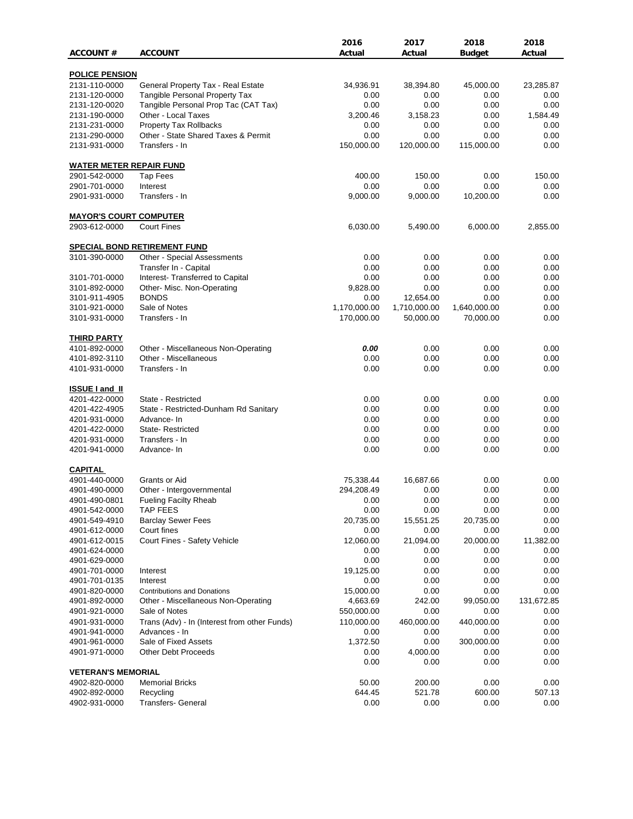|                                |                                                                    | 2016             | 2017             | 2018          | 2018         |
|--------------------------------|--------------------------------------------------------------------|------------------|------------------|---------------|--------------|
| <b>ACCOUNT#</b>                | <b>ACCOUNT</b>                                                     | Actual           | Actual           | <b>Budget</b> | Actual       |
| <b>POLICE PENSION</b>          |                                                                    |                  |                  |               |              |
| 2131-110-0000                  | General Property Tax - Real Estate                                 | 34,936.91        | 38,394.80        | 45,000.00     | 23,285.87    |
| 2131-120-0000                  | Tangible Personal Property Tax                                     | 0.00             | 0.00             | 0.00          | 0.00         |
| 2131-120-0020                  | Tangible Personal Prop Tac (CAT Tax)                               | 0.00             | 0.00             | 0.00          | 0.00         |
| 2131-190-0000                  | Other - Local Taxes                                                | 3,200.46         | 3,158.23         | 0.00          | 1,584.49     |
| 2131-231-0000                  | Property Tax Rollbacks                                             | 0.00             | 0.00             | 0.00          | 0.00         |
| 2131-290-0000                  | Other - State Shared Taxes & Permit                                | 0.00             | 0.00             | 0.00          | 0.00         |
| 2131-931-0000                  | Transfers - In                                                     | 150,000.00       | 120,000.00       | 115,000.00    | 0.00         |
| <b>WATER METER REPAIR FUND</b> |                                                                    |                  |                  |               |              |
| 2901-542-0000                  | <b>Tap Fees</b>                                                    | 400.00           | 150.00           | 0.00          | 150.00       |
| 2901-701-0000                  | Interest                                                           | 0.00             | 0.00             | 0.00          | 0.00         |
| 2901-931-0000                  | Transfers - In                                                     | 9,000.00         | 9,000.00         | 10,200.00     | 0.00         |
| <b>MAYOR'S COURT COMPUTER</b>  |                                                                    |                  |                  |               |              |
| 2903-612-0000                  | <b>Court Fines</b>                                                 | 6,030.00         | 5,490.00         | 6,000.00      | 2,855.00     |
|                                |                                                                    |                  |                  |               |              |
| 3101-390-0000                  | <b>SPECIAL BOND RETIREMENT FUND</b><br>Other - Special Assessments | 0.00             | 0.00             | 0.00          | 0.00         |
|                                |                                                                    | 0.00             |                  | 0.00          |              |
| 3101-701-0000                  | Transfer In - Capital                                              |                  | 0.00             |               | 0.00         |
| 3101-892-0000                  | Interest- Transferred to Capital                                   | 0.00<br>9,828.00 | 0.00<br>0.00     | 0.00<br>0.00  | 0.00         |
| 3101-911-4905                  | Other- Misc. Non-Operating<br><b>BONDS</b>                         |                  |                  | 0.00          | 0.00<br>0.00 |
|                                |                                                                    | 0.00             | 12,654.00        |               |              |
| 3101-921-0000                  | Sale of Notes                                                      | 1,170,000.00     | 1,710,000.00     | 1,640,000.00  | 0.00         |
| 3101-931-0000                  | Transfers - In                                                     | 170,000.00       | 50,000.00        | 70,000.00     | 0.00         |
| <b>THIRD PARTY</b>             |                                                                    |                  |                  |               |              |
| 4101-892-0000                  | Other - Miscellaneous Non-Operating                                | 0.00             | 0.00             | 0.00          | 0.00         |
| 4101-892-3110                  | Other - Miscellaneous                                              | 0.00             | 0.00             | 0.00          | 0.00         |
| 4101-931-0000                  | Transfers - In                                                     | 0.00             | 0.00             | 0.00          | 0.00         |
| <b>ISSUE I and II</b>          |                                                                    |                  |                  |               |              |
| 4201-422-0000                  | State - Restricted                                                 | 0.00             | 0.00             | 0.00          | 0.00         |
| 4201-422-4905                  | State - Restricted-Dunham Rd Sanitary                              | 0.00             | 0.00             | 0.00          | 0.00         |
| 4201-931-0000                  | Advance-In                                                         | 0.00             | 0.00             | 0.00          | 0.00         |
| 4201-422-0000                  | <b>State-Restricted</b>                                            | 0.00             | 0.00             | 0.00          | 0.00         |
| 4201-931-0000                  | Transfers - In                                                     | 0.00             | 0.00             | 0.00          | 0.00         |
| 4201-941-0000                  | Advance- In                                                        | 0.00             | 0.00             | 0.00          | 0.00         |
| <b>CAPITAL</b>                 |                                                                    |                  |                  |               |              |
| 4901-440-0000                  | Grants or Aid                                                      | 75,338.44        | 16,687.66        | 0.00          | 0.00         |
| 4901-490-0000                  | Other - Intergovernmental                                          | 294,208.49       | 0.00             | 0.00          | 0.00         |
| 4901-490-0801                  | <b>Fueling Facilty Rheab</b>                                       | 0.00             | 0.00             | 0.00          | 0.00         |
| 4901-542-0000                  | <b>TAP FEES</b>                                                    | 0.00             | 0.00             | 0.00          | 0.00         |
| 4901-549-4910                  | <b>Barclay Sewer Fees</b>                                          | 20,735.00        | 15,551.25        | 20,735.00     | 0.00         |
| 4901-612-0000                  | Court fines                                                        | 0.00             | 0.00             | 0.00          | 0.00         |
| 4901-612-0015                  | Court Fines - Safety Vehicle                                       | 12,060.00        | 21,094.00        | 20,000.00     | 11,382.00    |
| 4901-624-0000                  |                                                                    | 0.00             | 0.00             | 0.00          | 0.00         |
| 4901-629-0000                  |                                                                    | 0.00             | 0.00             | 0.00          | 0.00         |
| 4901-701-0000                  | Interest                                                           | 19,125.00        | 0.00             | 0.00          | 0.00         |
| 4901-701-0135                  | Interest                                                           | 0.00             | 0.00             | 0.00          | 0.00         |
| 4901-820-0000                  | <b>Contributions and Donations</b>                                 | 15,000.00        | 0.00             | 0.00          | 0.00         |
| 4901-892-0000                  | Other - Miscellaneous Non-Operating                                | 4,663.69         | 242.00           | 99,050.00     | 131,672.85   |
| 4901-921-0000                  | Sale of Notes                                                      | 550,000.00       | 0.00             | 0.00          | 0.00         |
| 4901-931-0000                  | Trans (Adv) - In (Interest from other Funds)                       | 110,000.00       | 460,000.00       | 440,000.00    | 0.00         |
|                                |                                                                    |                  |                  |               |              |
| 4901-941-0000                  | Advances - In                                                      | 0.00             | 0.00             | 0.00          | 0.00         |
| 4901-961-0000                  | Sale of Fixed Assets                                               | 1,372.50         | 0.00             | 300,000.00    | 0.00         |
| 4901-971-0000                  | <b>Other Debt Proceeds</b>                                         | 0.00<br>0.00     | 4,000.00<br>0.00 | 0.00<br>0.00  | 0.00<br>0.00 |
| <b>VETERAN'S MEMORIAL</b>      |                                                                    |                  |                  |               |              |
| 4902-820-0000                  | <b>Memorial Bricks</b>                                             | 50.00            | 200.00           | 0.00          | 0.00         |
| 4902-892-0000                  | Recycling                                                          | 644.45           | 521.78           | 600.00        | 507.13       |
| 4902-931-0000                  | Transfers- General                                                 | 0.00             | 0.00             | 0.00          | 0.00         |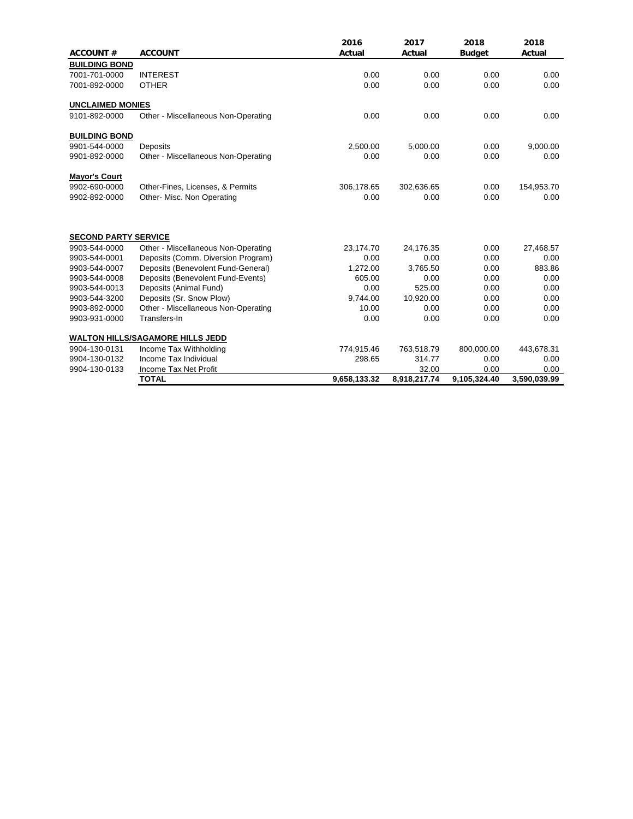|                             |                                         | 2016         | 2017         | 2018          | 2018         |
|-----------------------------|-----------------------------------------|--------------|--------------|---------------|--------------|
| <b>ACCOUNT#</b>             | <b>ACCOUNT</b>                          | Actual       | Actual       | <b>Budget</b> | Actual       |
| <b>BUILDING BOND</b>        |                                         |              |              |               |              |
| 7001-701-0000               | <b>INTEREST</b>                         | 0.00         | 0.00         | 0.00          | 0.00         |
| 7001-892-0000               | <b>OTHER</b>                            | 0.00         | 0.00         | 0.00          | 0.00         |
| <b>UNCLAIMED MONIES</b>     |                                         |              |              |               |              |
| 9101-892-0000               | Other - Miscellaneous Non-Operating     | 0.00         | 0.00         | 0.00          | 0.00         |
| <b>BUILDING BOND</b>        |                                         |              |              |               |              |
| 9901-544-0000               | Deposits                                | 2,500.00     | 5,000.00     | 0.00          | 9,000.00     |
| 9901-892-0000               | Other - Miscellaneous Non-Operating     | 0.00         | 0.00         | 0.00          | 0.00         |
| <b>Mayor's Court</b>        |                                         |              |              |               |              |
| 9902-690-0000               | Other-Fines, Licenses, & Permits        | 306,178.65   | 302,636.65   | 0.00          | 154,953.70   |
| 9902-892-0000               | Other- Misc. Non Operating              | 0.00         | 0.00         | 0.00          | 0.00         |
| <b>SECOND PARTY SERVICE</b> |                                         |              |              |               |              |
| 9903-544-0000               | Other - Miscellaneous Non-Operating     | 23,174.70    | 24,176.35    | 0.00          | 27,468.57    |
| 9903-544-0001               | Deposits (Comm. Diversion Program)      | 0.00         | 0.00         | 0.00          | 0.00         |
| 9903-544-0007               | Deposits (Benevolent Fund-General)      | 1,272.00     | 3,765.50     | 0.00          | 883.86       |
| 9903-544-0008               | Deposits (Benevolent Fund-Events)       | 605.00       | 0.00         | 0.00          | 0.00         |
| 9903-544-0013               | Deposits (Animal Fund)                  | 0.00         | 525.00       | 0.00          | 0.00         |
| 9903-544-3200               | Deposits (Sr. Snow Plow)                | 9.744.00     | 10,920.00    | 0.00          | 0.00         |
| 9903-892-0000               | Other - Miscellaneous Non-Operating     | 10.00        | 0.00         | 0.00          | 0.00         |
| 9903-931-0000               | Transfers-In                            | 0.00         | 0.00         | 0.00          | 0.00         |
|                             | <b>WALTON HILLS/SAGAMORE HILLS JEDD</b> |              |              |               |              |
| 9904-130-0131               | Income Tax Withholding                  | 774,915.46   | 763,518.79   | 800,000.00    | 443,678.31   |
| 9904-130-0132               | Income Tax Individual                   | 298.65       | 314.77       | 0.00          | 0.00         |
| 9904-130-0133               | Income Tax Net Profit                   |              | 32.00        | 0.00          | 0.00         |
|                             | <b>TOTAL</b>                            | 9,658,133.32 | 8,918,217.74 | 9,105,324.40  | 3,590,039.99 |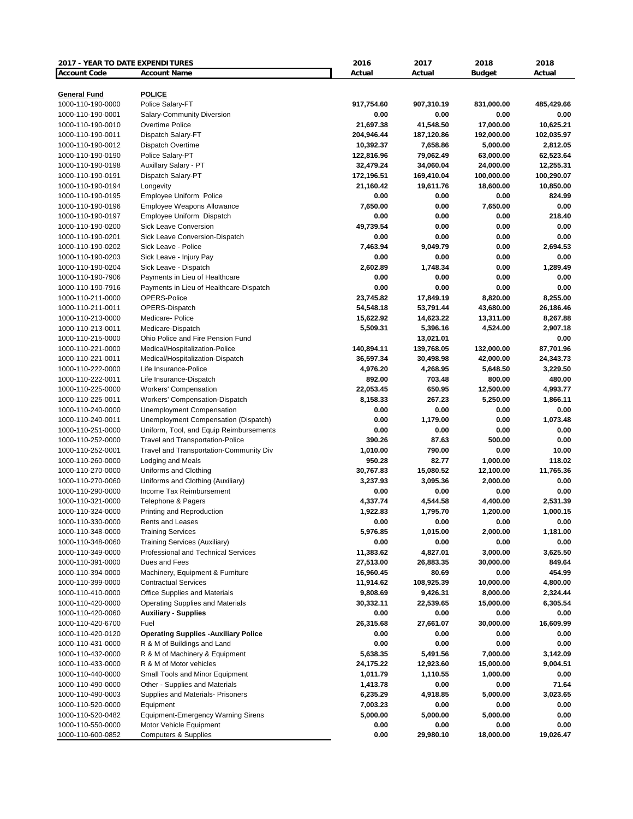| 2017 - YEAR TO DATE EXPENDITURES |                                                                 | 2016                  | 2017                | 2018              | 2018       |
|----------------------------------|-----------------------------------------------------------------|-----------------------|---------------------|-------------------|------------|
| <b>Account Code</b>              | <b>Account Name</b>                                             | Actual                | Actual              | <b>Budget</b>     | Actual     |
|                                  |                                                                 |                       |                     |                   |            |
| <b>General Fund</b>              | <b>POLICE</b>                                                   |                       |                     |                   |            |
| 1000-110-190-0000                | Police Salary-FT                                                | 917,754.60            | 907,310.19          | 831,000.00        | 485,429.66 |
| 1000-110-190-0001                | Salary-Community Diversion                                      | 0.00                  | 0.00                | 0.00              | 0.00       |
| 1000-110-190-0010                | Overtime Police                                                 | 21,697.38             | 41,548.50           | 17,000.00         | 10,625.21  |
| 1000-110-190-0011                | Dispatch Salary-FT                                              | 204,946.44            | 187,120.86          | 192,000.00        | 102,035.97 |
| 1000-110-190-0012                | Dispatch Overtime                                               | 10,392.37             | 7,658.86            | 5,000.00          | 2,812.05   |
| 1000-110-190-0190                | Police Salary-PT                                                | 122,816.96            | 79,062.49           | 63,000.00         | 62,523.64  |
| 1000-110-190-0198                | Auxillary Salary - PT                                           | 32,479.24             | 34,060.04           | 24,000.00         | 12,255.31  |
| 1000-110-190-0191                | Dispatch Salary-PT                                              | 172,196.51            | 169,410.04          | 100,000.00        | 100,290.07 |
| 1000-110-190-0194                | Longevity                                                       | 21,160.42             | 19,611.76           | 18,600.00         | 10,850.00  |
| 1000-110-190-0195                | Employee Uniform Police                                         | 0.00                  | 0.00                | 0.00              | 824.99     |
| 1000-110-190-0196                | <b>Employee Weapons Allowance</b>                               | 7,650.00              | 0.00                | 7,650.00          | 0.00       |
| 1000-110-190-0197                | Employee Uniform Dispatch                                       | 0.00                  | 0.00                | 0.00              | 218.40     |
| 1000-110-190-0200                | <b>Sick Leave Conversion</b>                                    | 49,739.54             | 0.00                | 0.00              | 0.00       |
| 1000-110-190-0201                | Sick Leave Conversion-Dispatch                                  | 0.00                  | 0.00                | 0.00              | 0.00       |
| 1000-110-190-0202                | Sick Leave - Police                                             | 7,463.94              | 9,049.79            | 0.00              | 2,694.53   |
| 1000-110-190-0203                | Sick Leave - Injury Pay                                         | 0.00                  | 0.00                | 0.00              | 0.00       |
| 1000-110-190-0204                | Sick Leave - Dispatch                                           | 2,602.89              | 1,748.34            | 0.00              | 1,289.49   |
| 1000-110-190-7906                | Payments in Lieu of Healthcare                                  | 0.00                  | 0.00                | 0.00              | 0.00       |
| 1000-110-190-7916                | Payments in Lieu of Healthcare-Dispatch                         | 0.00                  | 0.00                | 0.00              | 0.00       |
| 1000-110-211-0000                | OPERS-Police                                                    | 23,745.82             | 17,849.19           | 8,820.00          | 8,255.00   |
| 1000-110-211-0011                | OPERS-Dispatch                                                  | 54,548.18             | 53,791.44           | 43,680.00         | 26,186.46  |
| 1000-110-213-0000                | Medicare-Police                                                 | 15,622.92             | 14,623.22           | 13,311.00         | 8,267.88   |
| 1000-110-213-0011                | Medicare-Dispatch                                               | 5,509.31              | 5,396.16            | 4,524.00          | 2,907.18   |
| 1000-110-215-0000                | Ohio Police and Fire Pension Fund                               |                       | 13,021.01           |                   | 0.00       |
| 1000-110-221-0000                | Medical/Hospitalization-Police                                  | 140,894.11            | 139,768.05          | 132,000.00        | 87,701.96  |
| 1000-110-221-0011                | Medical/Hospitalization-Dispatch                                | 36,597.34             | 30,498.98           | 42,000.00         | 24,343.73  |
| 1000-110-222-0000                | Life Insurance-Police                                           | 4,976.20              | 4,268.95            | 5,648.50          | 3,229.50   |
| 1000-110-222-0011                | Life Insurance-Dispatch                                         | 892.00                | 703.48              | 800.00            | 480.00     |
| 1000-110-225-0000                | <b>Workers' Compensation</b>                                    | 22,053.45             | 650.95              | 12,500.00         | 4,993.77   |
| 1000-110-225-0011                | <b>Workers' Compensation-Dispatch</b>                           | 8,158.33              | 267.23              | 5,250.00          | 1,866.11   |
| 1000-110-240-0000                | Unemployment Compensation                                       | 0.00                  | 0.00                | 0.00              | 0.00       |
| 1000-110-240-0011                | Unemployment Compensation (Dispatch)                            | 0.00                  | 1,179.00            | 0.00              | 1,073.48   |
| 1000-110-251-0000                | Uniform, Tool, and Equip Reimbursements                         | 0.00                  | 0.00                | 0.00              | 0.00       |
| 1000-110-252-0000                | <b>Travel and Transportation-Police</b>                         | 390.26                | 87.63               | 500.00            | 0.00       |
| 1000-110-252-0001                | Travel and Transportation-Community Div                         | 1,010.00              | 790.00              | 0.00              | 10.00      |
| 1000-110-260-0000                | Lodging and Meals                                               | 950.28                | 82.77               | 1,000.00          | 118.02     |
| 1000-110-270-0000                | Uniforms and Clothing                                           | 30,767.83             | 15,080.52           | 12,100.00         | 11,765.36  |
| 1000-110-270-0060                | Uniforms and Clothing (Auxiliary)                               | 3,237.93              | 3,095.36            | 2,000.00          | 0.00       |
| 1000-110-290-0000                | Income Tax Reimbursement                                        | 0.00                  | 0.00                | 0.00              | 0.00       |
| 1000-110-321-0000                | Telephone & Pagers                                              | 4,337.74              | 4,544.58            | 4,400.00          | 2,531.39   |
| 1000-110-324-0000                | Printing and Reproduction                                       | 1,922.83              | 1,795.70            | 1,200.00          | 1,000.15   |
| 1000-110-330-0000                | Rents and Leases                                                | 0.00                  | 0.00                | 0.00              | 0.00       |
| 1000-110-348-0000                | <b>Training Services</b>                                        | 5,976.85              | 1,015.00            | 2,000.00          | 1,181.00   |
| 1000-110-348-0060                | Training Services (Auxiliary)                                   | 0.00                  | 0.00                | 0.00              | 0.00       |
| 1000-110-349-0000                | Professional and Technical Services                             | 11,383.62             | 4,827.01            | 3,000.00          | 3,625.50   |
| 1000-110-391-0000                | Dues and Fees                                                   | 27,513.00             | 26,883.35           | 30,000.00         | 849.64     |
| 1000-110-394-0000                |                                                                 |                       |                     |                   | 454.99     |
|                                  | Machinery, Equipment & Furniture<br><b>Contractual Services</b> | 16,960.45             | 80.69<br>108,925.39 | 0.00<br>10,000.00 |            |
| 1000-110-399-0000                | <b>Office Supplies and Materials</b>                            | 11,914.62<br>9,808.69 |                     |                   | 4,800.00   |
| 1000-110-410-0000                |                                                                 |                       | 9,426.31            | 8,000.00          | 2,324.44   |
| 1000-110-420-0000                | <b>Operating Supplies and Materials</b>                         | 30,332.11             | 22,539.65           | 15,000.00         | 6,305.54   |
| 1000-110-420-0060                | <b>Auxiliary - Supplies</b>                                     | 0.00                  | 0.00                | 0.00              | 0.00       |
| 1000-110-420-6700                | Fuel                                                            | 26,315.68             | 27,661.07           | 30,000.00         | 16,609.99  |
| 1000-110-420-0120                | <b>Operating Supplies -Auxiliary Police</b>                     | 0.00                  | 0.00                | 0.00              | 0.00       |
| 1000-110-431-0000                | R & M of Buildings and Land                                     | 0.00                  | 0.00                | 0.00              | 0.00       |
| 1000-110-432-0000                | R & M of Machinery & Equipment                                  | 5,638.35              | 5,491.56            | 7,000.00          | 3,142.09   |
| 1000-110-433-0000                | R & M of Motor vehicles                                         | 24,175.22             | 12,923.60           | 15,000.00         | 9,004.51   |
| 1000-110-440-0000                | Small Tools and Minor Equipment                                 | 1,011.79              | 1,110.55            | 1,000.00          | 0.00       |
| 1000-110-490-0000                | Other - Supplies and Materials                                  | 1,413.78              | 0.00                | 0.00              | 71.64      |
| 1000-110-490-0003                | Supplies and Materials- Prisoners                               | 6,235.29              | 4,918.85            | 5,000.00          | 3,023.65   |
| 1000-110-520-0000                | Equipment                                                       | 7,003.23              | 0.00                | 0.00              | 0.00       |
| 1000-110-520-0482                | <b>Equipment-Emergency Warning Sirens</b>                       | 5,000.00              | 5,000.00            | 5,000.00          | 0.00       |
| 1000-110-550-0000                | Motor Vehicle Equipment                                         | 0.00                  | 0.00                | 0.00              | 0.00       |
| 1000-110-600-0852                | <b>Computers &amp; Supplies</b>                                 | 0.00                  | 29,980.10           | 18,000.00         | 19,026.47  |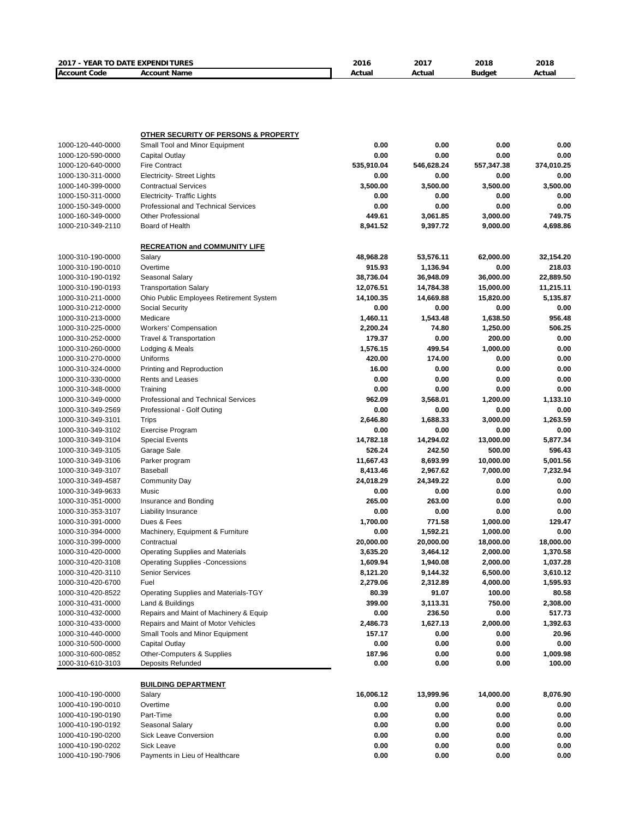| 2017 - YEAR TO DATE EXPENDITURES |                                                 | 2016       | 2017       | 2018       | 2018       |
|----------------------------------|-------------------------------------------------|------------|------------|------------|------------|
| <b>Account Code</b>              | <b>Account Name</b>                             | Actual     | Actual     | Budget     | Actual     |
|                                  |                                                 |            |            |            |            |
|                                  |                                                 |            |            |            |            |
|                                  |                                                 |            |            |            |            |
|                                  |                                                 |            |            |            |            |
|                                  |                                                 |            |            |            |            |
|                                  | <b>OTHER SECURITY OF PERSONS &amp; PROPERTY</b> |            |            |            |            |
| 1000-120-440-0000                | Small Tool and Minor Equipment                  | 0.00       | 0.00       | 0.00       | 0.00       |
| 1000-120-590-0000                | Capital Outlay                                  | 0.00       | 0.00       | 0.00       | 0.00       |
| 1000-120-640-0000                | <b>Fire Contract</b>                            | 535,910.04 | 546,628.24 | 557,347.38 | 374,010.25 |
| 1000-130-311-0000                | <b>Electricity- Street Lights</b>               | 0.00       | 0.00       | 0.00       | 0.00       |
| 1000-140-399-0000                | <b>Contractual Services</b>                     | 3,500.00   | 3,500.00   | 3,500.00   | 3,500.00   |
| 1000-150-311-0000                | <b>Electricity- Traffic Lights</b>              | 0.00       | 0.00       | 0.00       | 0.00       |
| 1000-150-349-0000                | <b>Professional and Technical Services</b>      | 0.00       | 0.00       | 0.00       | 0.00       |
| 1000-160-349-0000                | <b>Other Professional</b>                       | 449.61     | 3,061.85   | 3,000.00   | 749.75     |
| 1000-210-349-2110                | Board of Health                                 | 8,941.52   | 9,397.72   | 9,000.00   | 4,698.86   |
|                                  |                                                 |            |            |            |            |
|                                  | <b>RECREATION and COMMUNITY LIFE</b>            |            |            |            |            |
| 1000-310-190-0000                | Salary                                          | 48,968.28  | 53,576.11  | 62,000.00  | 32,154.20  |
| 1000-310-190-0010                | Overtime                                        | 915.93     | 1,136.94   | 0.00       | 218.03     |
| 1000-310-190-0192                | Seasonal Salary                                 | 38,736.04  | 36,948.09  | 36,000.00  | 22,889.50  |
| 1000-310-190-0193                | <b>Transportation Salary</b>                    | 12,076.51  | 14,784.38  | 15,000.00  | 11,215.11  |
| 1000-310-211-0000                | Ohio Public Employees Retirement System         | 14,100.35  | 14,669.88  | 15,820.00  | 5,135.87   |
| 1000-310-212-0000                | Social Security                                 | 0.00       | 0.00       | 0.00       | 0.00       |
| 1000-310-213-0000                | Medicare                                        | 1,460.11   | 1,543.48   | 1,638.50   | 956.48     |
| 1000-310-225-0000                | <b>Workers' Compensation</b>                    | 2,200.24   | 74.80      | 1,250.00   | 506.25     |
| 1000-310-252-0000                | <b>Travel &amp; Transportation</b>              | 179.37     | 0.00       | 200.00     | 0.00       |
| 1000-310-260-0000                | Lodging & Meals                                 | 1,576.15   | 499.54     | 1,000.00   | 0.00       |
| 1000-310-270-0000                | Uniforms                                        | 420.00     | 174.00     | 0.00       | 0.00       |
| 1000-310-324-0000                | Printing and Reproduction                       | 16.00      | 0.00       | 0.00       | 0.00       |
| 1000-310-330-0000                | <b>Rents and Leases</b>                         | 0.00       | 0.00       | 0.00       | 0.00       |
| 1000-310-348-0000                | Training                                        | 0.00       | 0.00       | 0.00       | 0.00       |
| 1000-310-349-0000                | Professional and Technical Services             | 962.09     | 3,568.01   | 1,200.00   | 1,133.10   |
| 1000-310-349-2569                | Professional - Golf Outing                      | 0.00       | 0.00       | 0.00       | 0.00       |
| 1000-310-349-3101                | Trips                                           | 2,646.80   | 1,688.33   | 3,000.00   | 1,263.59   |
| 1000-310-349-3102                | <b>Exercise Program</b>                         | 0.00       | 0.00       | 0.00       | 0.00       |
| 1000-310-349-3104                | <b>Special Events</b>                           | 14,782.18  | 14,294.02  | 13,000.00  | 5,877.34   |
| 1000-310-349-3105                | Garage Sale                                     | 526.24     | 242.50     | 500.00     | 596.43     |
| 1000-310-349-3106                | Parker program                                  | 11,667.43  | 8,693.99   | 10,000.00  | 5,001.56   |
| 1000-310-349-3107                | <b>Baseball</b>                                 | 8,413.46   | 2,967.62   | 7,000.00   | 7,232.94   |
| 1000-310-349-4587                | <b>Community Day</b>                            | 24,018.29  | 24,349.22  | 0.00       | 0.00       |
| 1000-310-349-9633                | Music                                           | 0.00       | 0.00       | 0.00       | 0.00       |
| 1000-310-351-0000                | Insurance and Bonding                           | 265.00     | 263.00     | 0.00       | 0.00       |
| 1000-310-353-3107                | <b>Liability Insurance</b>                      | 0.00       | 0.00       | 0.00       | 0.00       |
| 1000-310-391-0000                | Dues & Fees                                     | 1,700.00   | 771.58     | 1,000.00   | 129.47     |
| 1000-310-394-0000                | Machinery, Equipment & Furniture                | 0.00       | 1,592.21   | 1,000.00   | 0.00       |
| 1000-310-399-0000                | Contractual                                     | 20,000.00  | 20,000.00  | 18,000.00  | 18,000.00  |
| 1000-310-420-0000                | Operating Supplies and Materials                | 3,635.20   | 3,464.12   | 2,000.00   | 1,370.58   |
| 1000-310-420-3108                | <b>Operating Supplies -Concessions</b>          | 1,609.94   | 1,940.08   | 2,000.00   | 1,037.28   |
| 1000-310-420-3110                | <b>Senior Services</b>                          | 8,121.20   | 9,144.32   | 6,500.00   | 3,610.12   |
| 1000-310-420-6700                | Fuel                                            | 2,279.06   | 2,312.89   | 4,000.00   | 1,595.93   |
| 1000-310-420-8522                | Operating Supplies and Materials-TGY            | 80.39      | 91.07      | 100.00     | 80.58      |
| 1000-310-431-0000                | Land & Buildings                                | 399.00     | 3,113.31   | 750.00     | 2,308.00   |
| 1000-310-432-0000                | Repairs and Maint of Machinery & Equip          | 0.00       | 236.50     | 0.00       | 517.73     |
| 1000-310-433-0000                | Repairs and Maint of Motor Vehicles             | 2,486.73   | 1,627.13   | 2,000.00   | 1,392.63   |
| 1000-310-440-0000                | Small Tools and Minor Equipment                 | 157.17     | 0.00       | 0.00       | 20.96      |
| 1000-310-500-0000                | <b>Capital Outlay</b>                           | 0.00       | 0.00       | 0.00       | 0.00       |
| 1000-310-600-0852                | <b>Other-Computers &amp; Supplies</b>           | 187.96     | 0.00       | 0.00       | 1,009.98   |
| 1000-310-610-3103                | <b>Deposits Refunded</b>                        | 0.00       | 0.00       | 0.00       | 100.00     |
|                                  |                                                 |            |            |            |            |
|                                  | <b>BUILDING DEPARTMENT</b>                      |            |            |            |            |
| 1000-410-190-0000                | Salary                                          | 16,006.12  | 13,999.96  | 14,000.00  | 8,076.90   |
| 1000-410-190-0010                | Overtime                                        | 0.00       | 0.00       | 0.00       | 0.00       |
| 1000-410-190-0190                | Part-Time                                       | 0.00       | 0.00       | 0.00       | 0.00       |
| 1000-410-190-0192                | Seasonal Salary                                 | 0.00       | 0.00       | 0.00       | 0.00       |
| 1000-410-190-0200                | Sick Leave Conversion                           | 0.00       | 0.00       | 0.00       | 0.00       |
| 1000-410-190-0202                | Sick Leave                                      | 0.00       | 0.00       | 0.00       | 0.00       |
| 1000-410-190-7906                | Payments in Lieu of Healthcare                  | 0.00       | 0.00       | 0.00       | 0.00       |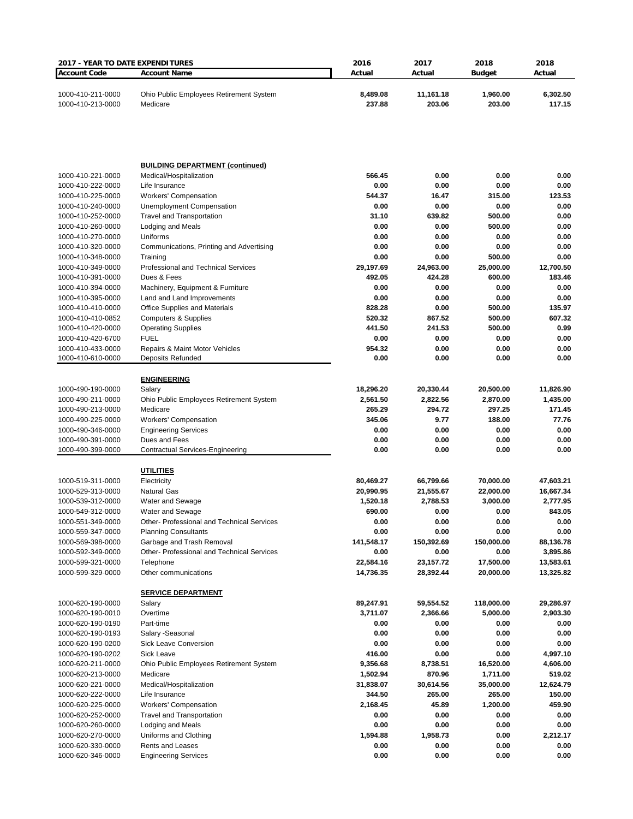| 2017 - YEAR TO DATE EXPENDITURES       |                                                                           | 2016               | 2017                | 2018               | 2018               |
|----------------------------------------|---------------------------------------------------------------------------|--------------------|---------------------|--------------------|--------------------|
| <b>Account Code</b>                    | <b>Account Name</b>                                                       | Actual             | Actual              | <b>Budget</b>      | Actual             |
| 1000-410-211-0000<br>1000-410-213-0000 | Ohio Public Employees Retirement System<br>Medicare                       | 8,489.08<br>237.88 | 11,161.18<br>203.06 | 1,960.00<br>203.00 | 6,302.50<br>117.15 |
|                                        |                                                                           |                    |                     |                    |                    |
|                                        | <b>BUILDING DEPARTMENT (continued)</b>                                    |                    |                     |                    |                    |
| 1000-410-221-0000<br>1000-410-222-0000 | Medical/Hospitalization<br>Life Insurance                                 | 566.45<br>0.00     | 0.00<br>0.00        | 0.00<br>0.00       | 0.00<br>0.00       |
| 1000-410-225-0000                      | <b>Workers' Compensation</b>                                              | 544.37             | 16.47               | 315.00             | 123.53             |
| 1000-410-240-0000                      | <b>Unemployment Compensation</b>                                          | 0.00               | 0.00                | 0.00               | 0.00               |
| 1000-410-252-0000                      | <b>Travel and Transportation</b>                                          | 31.10              | 639.82              | 500.00             | 0.00               |
| 1000-410-260-0000                      | Lodging and Meals                                                         | 0.00               | 0.00<br>0.00        | 500.00             | 0.00<br>0.00       |
| 1000-410-270-0000<br>1000-410-320-0000 | Uniforms<br>Communications, Printing and Advertising                      | 0.00<br>0.00       | 0.00                | 0.00<br>0.00       | 0.00               |
| 1000-410-348-0000                      | Training                                                                  | 0.00               | 0.00                | 500.00             | 0.00               |
| 1000-410-349-0000                      | Professional and Technical Services                                       | 29,197.69          | 24,963.00           | 25,000.00          | 12,700.50          |
| 1000-410-391-0000                      | Dues & Fees                                                               | 492.05             | 424.28              | 600.00             | 183.46             |
| 1000-410-394-0000                      | Machinery, Equipment & Furniture                                          | 0.00               | 0.00                | 0.00               | 0.00               |
| 1000-410-395-0000<br>1000-410-410-0000 | Land and Land Improvements<br><b>Office Supplies and Materials</b>        | 0.00<br>828.28     | 0.00<br>0.00        | 0.00<br>500.00     | 0.00<br>135.97     |
| 1000-410-410-0852                      | <b>Computers &amp; Supplies</b>                                           | 520.32             | 867.52              | 500.00             | 607.32             |
| 1000-410-420-0000                      | <b>Operating Supplies</b>                                                 | 441.50             | 241.53              | 500.00             | 0.99               |
| 1000-410-420-6700                      | <b>FUEL</b>                                                               | 0.00               | 0.00                | 0.00               | 0.00               |
| 1000-410-433-0000                      | Repairs & Maint Motor Vehicles                                            | 954.32             | 0.00                | 0.00               | 0.00               |
| 1000-410-610-0000                      | Deposits Refunded                                                         | 0.00               | 0.00                | 0.00               | 0.00               |
|                                        | <b>ENGINEERING</b>                                                        |                    |                     |                    |                    |
| 1000-490-190-0000                      | Salary                                                                    | 18,296.20          | 20,330.44           | 20,500.00          | 11,826.90          |
| 1000-490-211-0000                      | Ohio Public Employees Retirement System                                   | 2,561.50           | 2,822.56            | 2,870.00           | 1,435.00           |
| 1000-490-213-0000                      | Medicare                                                                  | 265.29<br>345.06   | 294.72<br>9.77      | 297.25<br>188.00   | 171.45<br>77.76    |
| 1000-490-225-0000<br>1000-490-346-0000 | <b>Workers' Compensation</b><br><b>Engineering Services</b>               | 0.00               | 0.00                | 0.00               | 0.00               |
| 1000-490-391-0000                      | Dues and Fees                                                             | 0.00               | 0.00                | 0.00               | 0.00               |
| 1000-490-399-0000                      | Contractual Services-Engineering                                          | 0.00               | 0.00                | 0.00               | 0.00               |
|                                        | <u>UTILITIES</u>                                                          |                    |                     |                    |                    |
| 1000-519-311-0000                      | Electricity                                                               | 80,469.27          | 66,799.66           | 70,000.00          | 47,603.21          |
| 1000-529-313-0000                      | <b>Natural Gas</b>                                                        | 20,990.95          | 21,555.67           | 22,000.00          | 16,667.34          |
| 1000-539-312-0000                      | Water and Sewage                                                          | 1,520.18           | 2,788.53            | 3,000.00           | 2,777.95           |
| 1000-549-312-0000                      | Water and Sewage                                                          | 690.00             | 0.00                | 0.00               | 843.05             |
| 1000-551-349-0000<br>1000-559-347-0000 | Other- Professional and Technical Services<br><b>Planning Consultants</b> | 0.00<br>0.00       | 0.00<br>0.00        | 0.00<br>0.00       | 0.00<br>0.00       |
| 1000-569-398-0000                      | Garbage and Trash Removal                                                 | 141,548.17         | 150,392.69          | 150,000.00         | 88,136.78          |
| 1000-592-349-0000                      | Other-Professional and Technical Services                                 | 0.00               | 0.00                | 0.00               | 3,895.86           |
| 1000-599-321-0000                      | Telephone                                                                 | 22,584.16          | 23,157.72           | 17,500.00          | 13,583.61          |
| 1000-599-329-0000                      | Other communications                                                      | 14,736.35          | 28,392.44           | 20,000.00          | 13,325.82          |
|                                        | <b>SERVICE DEPARTMENT</b>                                                 |                    |                     |                    |                    |
| 1000-620-190-0000                      | Salary                                                                    | 89,247.91          | 59,554.52           | 118,000.00         | 29,286.97          |
| 1000-620-190-0010                      | Overtime                                                                  | 3,711.07           | 2,366.66            | 5,000.00           | 2,903.30           |
| 1000-620-190-0190<br>1000-620-190-0193 | Part-time                                                                 | 0.00<br>0.00       | 0.00<br>0.00        | 0.00<br>0.00       | 0.00<br>0.00       |
| 1000-620-190-0200                      | Salary - Seasonal<br><b>Sick Leave Conversion</b>                         | 0.00               | 0.00                | 0.00               | 0.00               |
| 1000-620-190-0202                      | Sick Leave                                                                | 416.00             | 0.00                | 0.00               | 4,997.10           |
| 1000-620-211-0000                      | Ohio Public Employees Retirement System                                   | 9,356.68           | 8,738.51            | 16,520.00          | 4,606.00           |
| 1000-620-213-0000                      | Medicare                                                                  | 1,502.94           | 870.96              | 1,711.00           | 519.02             |
| 1000-620-221-0000                      | Medical/Hospitalization                                                   | 31,838.07          | 30,614.56           | 35,000.00          | 12,624.79          |
| 1000-620-222-0000                      | Life Insurance                                                            | 344.50             | 265.00<br>45.89     | 265.00             | 150.00<br>459.90   |
| 1000-620-225-0000<br>1000-620-252-0000 | <b>Workers' Compensation</b><br><b>Travel and Transportation</b>          | 2,168.45<br>0.00   | 0.00                | 1,200.00<br>0.00   | 0.00               |
| 1000-620-260-0000                      | Lodging and Meals                                                         | 0.00               | 0.00                | 0.00               | 0.00               |
| 1000-620-270-0000                      | Uniforms and Clothing                                                     | 1,594.88           | 1,958.73            | 0.00               | 2,212.17           |
| 1000-620-330-0000                      | <b>Rents and Leases</b>                                                   | 0.00               | 0.00                | 0.00               | 0.00               |
| 1000-620-346-0000                      | <b>Engineering Services</b>                                               | 0.00               | 0.00                | 0.00               | 0.00               |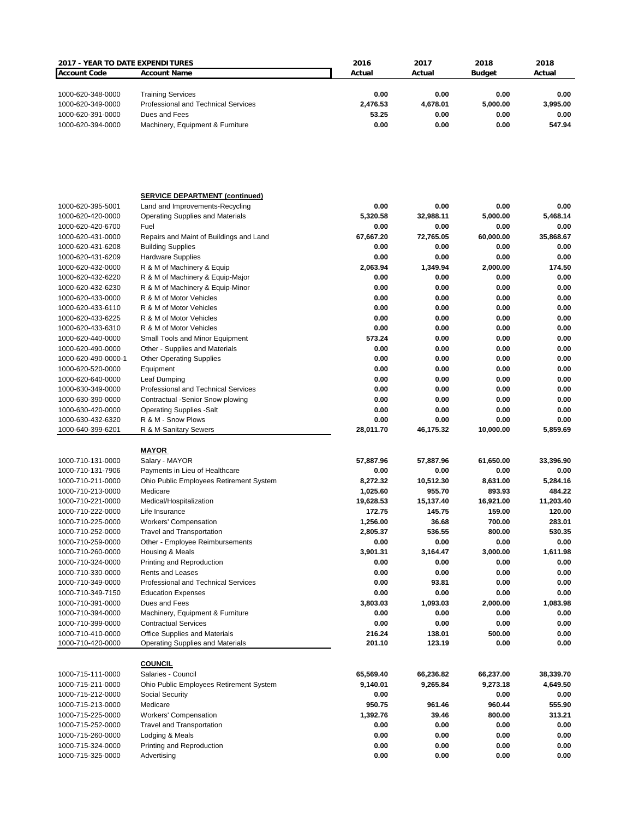| <b>2017 - YEAR TO DATE EXPENDITURES</b> |                                            | 2016                  | 2017      | 2018                | 2018      |
|-----------------------------------------|--------------------------------------------|-----------------------|-----------|---------------------|-----------|
| <b>Account Code</b>                     | <b>Account Name</b>                        | Actual                | Actual    | <b>Budget</b>       | Actual    |
|                                         |                                            |                       |           |                     |           |
| 1000-620-348-0000                       | <b>Training Services</b>                   | 0.00                  | 0.00      | 0.00                | 0.00      |
| 1000-620-349-0000                       | <b>Professional and Technical Services</b> | 2,476.53              | 4,678.01  | 5,000.00            | 3,995.00  |
|                                         | Dues and Fees                              | 53.25                 | 0.00      | 0.00                | 0.00      |
| 1000-620-391-0000                       |                                            | 0.00                  | 0.00      | 0.00                | 547.94    |
| 1000-620-394-0000                       | Machinery, Equipment & Furniture           |                       |           |                     |           |
|                                         |                                            |                       |           |                     |           |
|                                         |                                            |                       |           |                     |           |
|                                         |                                            |                       |           |                     |           |
|                                         |                                            |                       |           |                     |           |
|                                         | <b>SERVICE DEPARTMENT (continued)</b>      |                       |           |                     |           |
| 1000-620-395-5001                       | Land and Improvements-Recycling            | 0.00                  | 0.00      | 0.00                | 0.00      |
| 1000-620-420-0000                       | <b>Operating Supplies and Materials</b>    | 5,320.58              | 32,988.11 | 5,000.00            | 5,468.14  |
| 1000-620-420-6700                       | Fuel                                       | 0.00                  | 0.00      | 0.00                | 0.00      |
| 1000-620-431-0000                       | Repairs and Maint of Buildings and Land    | 67,667.20             | 72,765.05 | 60,000.00           | 35,868.67 |
| 1000-620-431-6208                       | <b>Building Supplies</b>                   | 0.00                  | 0.00      | 0.00                | 0.00      |
| 1000-620-431-6209                       | <b>Hardware Supplies</b>                   | 0.00                  | 0.00      | 0.00                | 0.00      |
| 1000-620-432-0000                       | R & M of Machinery & Equip                 | 2,063.94              | 1,349.94  | 2,000.00            | 174.50    |
| 1000-620-432-6220                       | R & M of Machinery & Equip-Major           | 0.00                  | 0.00      | 0.00                | 0.00      |
| 1000-620-432-6230                       |                                            |                       |           |                     |           |
|                                         | R & M of Machinery & Equip-Minor           | 0.00                  | 0.00      | 0.00                | 0.00      |
| 1000-620-433-0000                       | R & M of Motor Vehicles                    | 0.00                  | 0.00      | 0.00                | 0.00      |
| 1000-620-433-6110                       | R & M of Motor Vehicles                    | 0.00                  | 0.00      | 0.00                | 0.00      |
| 1000-620-433-6225                       | R & M of Motor Vehicles                    | 0.00                  | 0.00      | 0.00                | 0.00      |
| 1000-620-433-6310                       | R & M of Motor Vehicles                    | 0.00                  | 0.00      | 0.00                | 0.00      |
| 1000-620-440-0000                       | Small Tools and Minor Equipment            | 573.24                | 0.00      | 0.00                | 0.00      |
| 1000-620-490-0000                       | Other - Supplies and Materials             | 0.00                  | 0.00      | 0.00                | 0.00      |
| 1000-620-490-0000-1                     | <b>Other Operating Supplies</b>            | 0.00                  | 0.00      | 0.00                | 0.00      |
| 1000-620-520-0000                       | Equipment                                  | 0.00                  | 0.00      | 0.00                | 0.00      |
| 1000-620-640-0000                       | Leaf Dumping                               | 0.00                  | 0.00      | 0.00                | 0.00      |
| 1000-630-349-0000                       | Professional and Technical Services        | 0.00                  | 0.00      | 0.00                | 0.00      |
| 1000-630-390-0000                       | Contractual -Senior Snow plowing           | 0.00                  | 0.00      | 0.00                | 0.00      |
| 1000-630-420-0000                       | <b>Operating Supplies -Salt</b>            | 0.00                  | 0.00      | 0.00                | 0.00      |
| 1000-630-432-6320                       | R & M - Snow Plows                         | 0.00                  | 0.00      | 0.00                | 0.00      |
| 1000-640-399-6201                       | R & M-Sanitary Sewers                      | 28,011.70             | 46,175.32 | 10,000.00           | 5,859.69  |
|                                         | <b>MAYOR</b>                               |                       |           |                     |           |
| 1000-710-131-0000                       | Salary - MAYOR                             | 57,887.96             | 57,887.96 | 61,650.00           | 33,396.90 |
| 1000-710-131-7906                       | Payments in Lieu of Healthcare             | 0.00                  | 0.00      | 0.00                | 0.00      |
| 1000-710-211-0000                       | Ohio Public Employees Retirement System    | 8,272.32              | 10,512.30 | 8,631.00            | 5,284.16  |
|                                         |                                            |                       | 955.70    | 893.93              | 484.22    |
| 1000-710-213-0000                       | Medicare                                   | 1,025.60<br>19,628.53 |           |                     |           |
| 1000-710-221-0000                       | Medical/Hospitalization                    |                       | 15,137.40 | 16,921.00<br>159.00 | 11,203.40 |
| 1000-710-222-0000                       | Life Insurance                             | 172.75                | 145.75    |                     | 120.00    |
| 1000-710-225-0000                       | <b>Workers' Compensation</b>               | 1.256.00              | 36.68     | 700.00              | 283.01    |
| 1000-710-252-0000                       | <b>Travel and Transportation</b>           | 2,805.37              | 536.55    | 800.00              | 530.35    |
| 1000-710-259-0000                       | Other - Employee Reimbursements            | 0.00                  | 0.00      | 0.00                | 0.00      |
| 1000-710-260-0000                       | Housing & Meals                            | 3,901.31              | 3,164.47  | 3,000.00            | 1,611.98  |
| 1000-710-324-0000                       | Printing and Reproduction                  | 0.00                  | 0.00      | 0.00                | 0.00      |
| 1000-710-330-0000                       | <b>Rents and Leases</b>                    | 0.00                  | 0.00      | 0.00                | 0.00      |
| 1000-710-349-0000                       | Professional and Technical Services        | 0.00                  | 93.81     | 0.00                | 0.00      |
| 1000-710-349-7150                       | <b>Education Expenses</b>                  | 0.00                  | 0.00      | 0.00                | 0.00      |
| 1000-710-391-0000                       | Dues and Fees                              | 3,803.03              | 1,093.03  | 2,000.00            | 1,083.98  |
| 1000-710-394-0000                       | Machinery, Equipment & Furniture           | 0.00                  | 0.00      | 0.00                | 0.00      |
| 1000-710-399-0000                       | <b>Contractual Services</b>                | 0.00                  | 0.00      | 0.00                | 0.00      |
| 1000-710-410-0000                       | Office Supplies and Materials              | 216.24                | 138.01    | 500.00              | 0.00      |
| 1000-710-420-0000                       | <b>Operating Supplies and Materials</b>    | 201.10                | 123.19    | 0.00                | 0.00      |
|                                         |                                            |                       |           |                     |           |
|                                         | <b>COUNCIL</b>                             |                       |           |                     |           |
| 1000-715-111-0000                       | Salaries - Council                         | 65,569.40             | 66,236.82 | 66,237.00           | 38,339.70 |
| 1000-715-211-0000                       | Ohio Public Employees Retirement System    | 9,140.01              | 9,265.84  | 9,273.18            | 4,649.50  |
| 1000-715-212-0000                       | Social Security                            | 0.00                  |           | 0.00                | 0.00      |
| 1000-715-213-0000                       | Medicare                                   | 950.75                | 961.46    | 960.44              | 555.90    |
| 1000-715-225-0000                       | <b>Workers' Compensation</b>               | 1,392.76              | 39.46     | 800.00              | 313.21    |
| 1000-715-252-0000                       | <b>Travel and Transportation</b>           | 0.00                  | 0.00      | 0.00                | 0.00      |
| 1000-715-260-0000                       | Lodging & Meals                            | 0.00                  | 0.00      | 0.00                | 0.00      |
| 1000-715-324-0000                       | Printing and Reproduction                  | 0.00                  | 0.00      | 0.00                | 0.00      |
| 1000-715-325-0000                       | Advertising                                | 0.00                  | 0.00      | 0.00                | 0.00      |
|                                         |                                            |                       |           |                     |           |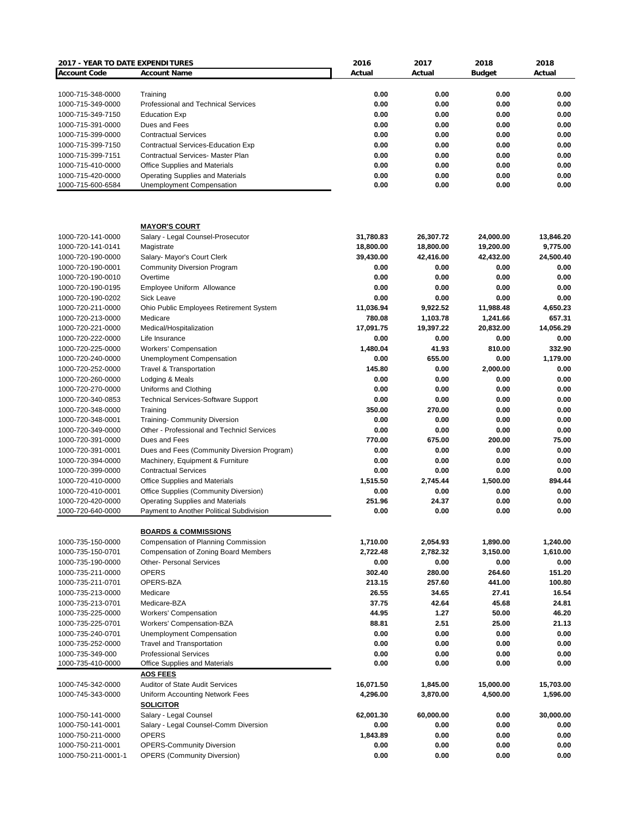| 2017 - YEAR TO DATE EXPENDITURES |                                             | 2016      | 2017      | 2018          | 2018      |
|----------------------------------|---------------------------------------------|-----------|-----------|---------------|-----------|
| <b>Account Code</b>              | <b>Account Name</b>                         | Actual    | Actual    | <b>Budget</b> | Actual    |
|                                  |                                             |           |           |               |           |
| 1000-715-348-0000                | Training                                    | 0.00      | 0.00      | 0.00          | 0.00      |
| 1000-715-349-0000                | Professional and Technical Services         | 0.00      | 0.00      | 0.00          | 0.00      |
| 1000-715-349-7150                | <b>Education Exp</b>                        | 0.00      | 0.00      | 0.00          | 0.00      |
| 1000-715-391-0000                | Dues and Fees                               | 0.00      | 0.00      | 0.00          | 0.00      |
| 1000-715-399-0000                | <b>Contractual Services</b>                 | 0.00      | 0.00      | 0.00          | 0.00      |
| 1000-715-399-7150                | Contractual Services-Education Exp          | 0.00      | 0.00      | 0.00          | 0.00      |
| 1000-715-399-7151                | <b>Contractual Services- Master Plan</b>    | 0.00      | 0.00      | 0.00          | 0.00      |
| 1000-715-410-0000                | <b>Office Supplies and Materials</b>        | 0.00      | 0.00      | 0.00          | 0.00      |
| 1000-715-420-0000                | <b>Operating Supplies and Materials</b>     | 0.00      | 0.00      | 0.00          | 0.00      |
| 1000-715-600-6584                | Unemployment Compensation                   | 0.00      | 0.00      | 0.00          | 0.00      |
|                                  |                                             |           |           |               |           |
|                                  | <b>MAYOR'S COURT</b>                        |           |           |               |           |
| 1000-720-141-0000                | Salary - Legal Counsel-Prosecutor           | 31,780.83 | 26,307.72 | 24,000.00     | 13,846.20 |
| 1000-720-141-0141                | Magistrate                                  | 18,800.00 | 18,800.00 | 19,200.00     | 9,775.00  |
| 1000-720-190-0000                | Salary- Mayor's Court Clerk                 | 39,430.00 | 42,416.00 | 42,432.00     | 24,500.40 |
| 1000-720-190-0001                | <b>Community Diversion Program</b>          | 0.00      | 0.00      | 0.00          | 0.00      |
| 1000-720-190-0010                | Overtime                                    | 0.00      | 0.00      | 0.00          | 0.00      |
| 1000-720-190-0195                | Employee Uniform Allowance                  | 0.00      | 0.00      | 0.00          | 0.00      |
| 1000-720-190-0202                | <b>Sick Leave</b>                           | 0.00      | 0.00      | 0.00          | 0.00      |
| 1000-720-211-0000                | Ohio Public Employees Retirement System     | 11,036.94 | 9,922.52  | 11,988.48     | 4,650.23  |
| 1000-720-213-0000                | Medicare                                    | 780.08    | 1,103.78  | 1,241.66      | 657.31    |
| 1000-720-221-0000                | Medical/Hospitalization                     | 17,091.75 | 19,397.22 | 20,832.00     | 14,056.29 |
| 1000-720-222-0000                | Life Insurance                              | 0.00      | 0.00      | 0.00          | 0.00      |
| 1000-720-225-0000                | <b>Workers' Compensation</b>                | 1,480.04  | 41.93     | 810.00        | 332.90    |
|                                  |                                             | 0.00      | 655.00    | 0.00          |           |
| 1000-720-240-0000                | Unemployment Compensation                   |           |           |               | 1,179.00  |
| 1000-720-252-0000                | <b>Travel &amp; Transportation</b>          | 145.80    | 0.00      | 2,000.00      | 0.00      |
| 1000-720-260-0000                | Lodging & Meals                             | 0.00      | 0.00      | 0.00          | 0.00      |
| 1000-720-270-0000                | Uniforms and Clothing                       | 0.00      | 0.00      | 0.00          | 0.00      |
| 1000-720-340-0853                | <b>Technical Services-Software Support</b>  | 0.00      | 0.00      | 0.00          | 0.00      |
| 1000-720-348-0000                | Training                                    | 350.00    | 270.00    | 0.00          | 0.00      |
| 1000-720-348-0001                | <b>Training- Community Diversion</b>        | 0.00      | 0.00      | 0.00          | 0.00      |
| 1000-720-349-0000                | Other - Professional and Technicl Services  | 0.00      | 0.00      | 0.00          | 0.00      |
| 1000-720-391-0000                | Dues and Fees                               | 770.00    | 675.00    | 200.00        | 75.00     |
| 1000-720-391-0001                | Dues and Fees (Community Diversion Program) | 0.00      | 0.00      | 0.00          | 0.00      |
| 1000-720-394-0000                | Machinery, Equipment & Furniture            | 0.00      | 0.00      | 0.00          | 0.00      |
| 1000-720-399-0000                | <b>Contractual Services</b>                 | 0.00      | 0.00      | 0.00          | 0.00      |
| 1000-720-410-0000                | Office Supplies and Materials               | 1.515.50  | 2,745.44  | 1,500.00      | 894.44    |
| 1000-720-410-0001                | Office Supplies (Community Diversion)       | 0.00      | 0.00      | 0.00          | 0.00      |
| 1000-720-420-0000                | <b>Operating Supplies and Materials</b>     | 251.96    | 24.37     | 0.00          | 0.00      |
| 1000-720-640-0000                | Payment to Another Political Subdivision    | 0.00      | 0.00      | 0.00          | 0.00      |
|                                  |                                             |           |           |               |           |
| 1000-735-150-0000                | <b>BOARDS &amp; COMMISSIONS</b>             |           |           | 1,890.00      |           |
|                                  | Compensation of Planning Commission         | 1,710.00  | 2,054.93  |               | 1,240.00  |
| 1000-735-150-0701                | <b>Compensation of Zoning Board Members</b> | 2,722.48  | 2,782.32  | 3,150.00      | 1,610.00  |
| 1000-735-190-0000                | <b>Other- Personal Services</b>             | 0.00      | 0.00      | 0.00          | 0.00      |
| 1000-735-211-0000                | <b>OPERS</b>                                | 302.40    | 280.00    | 264.60        | 151.20    |
| 1000-735-211-0701                | OPERS-BZA                                   | 213.15    | 257.60    | 441.00        | 100.80    |
| 1000-735-213-0000                | Medicare                                    | 26.55     | 34.65     | 27.41         | 16.54     |
| 1000-735-213-0701                | Medicare-BZA                                | 37.75     | 42.64     | 45.68         | 24.81     |
| 1000-735-225-0000                | <b>Workers' Compensation</b>                | 44.95     | 1.27      | 50.00         | 46.20     |
| 1000-735-225-0701                | Workers' Compensation-BZA                   | 88.81     | 2.51      | 25.00         | 21.13     |
| 1000-735-240-0701                | Unemployment Compensation                   | 0.00      | 0.00      | 0.00          | 0.00      |
| 1000-735-252-0000                | <b>Travel and Transportation</b>            | 0.00      | 0.00      | 0.00          | 0.00      |
| 1000-735-349-000                 | <b>Professional Services</b>                | 0.00      | 0.00      | 0.00          | 0.00      |
| 1000-735-410-0000                | Office Supplies and Materials               | 0.00      | 0.00      | 0.00          | 0.00      |
|                                  | <b>AOS FEES</b>                             |           |           |               |           |
| 1000-745-342-0000                | <b>Auditor of State Audit Services</b>      | 16,071.50 | 1,845.00  | 15,000.00     | 15,703.00 |
| 1000-745-343-0000                | Uniform Accounting Network Fees             | 4,296.00  | 3,870.00  | 4,500.00      | 1,596.00  |
|                                  | <b>SOLICITOR</b>                            |           |           |               |           |
| 1000-750-141-0000                | Salary - Legal Counsel                      | 62,001.30 | 60,000.00 | 0.00          | 30,000.00 |
| 1000-750-141-0001                | Salary - Legal Counsel-Comm Diversion       | 0.00      | 0.00      | 0.00          | 0.00      |
|                                  | <b>OPERS</b>                                |           |           |               | 0.00      |
| 1000-750-211-0000                |                                             | 1,843.89  | 0.00      | 0.00          |           |
| 1000-750-211-0001                | <b>OPERS-Community Diversion</b>            | 0.00      | 0.00      | 0.00          | 0.00      |
| 1000-750-211-0001-1              | <b>OPERS (Community Diversion)</b>          | 0.00      | 0.00      | 0.00          | 0.00      |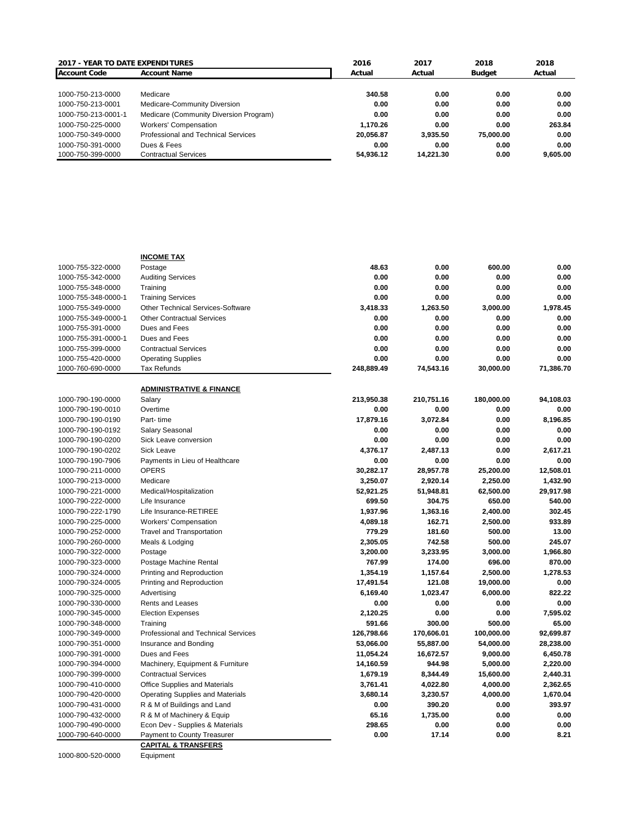| <b>2017 - YEAR TO DATE EXPENDITURES</b> |                                        | 2016      | 2017      | 2018      | 2018     |
|-----------------------------------------|----------------------------------------|-----------|-----------|-----------|----------|
| <b>Account Code</b>                     | <b>Account Name</b>                    | Actual    | Actual    | Budget    | Actual   |
|                                         |                                        |           |           |           |          |
| 1000-750-213-0000                       | Medicare                               | 340.58    | 0.00      | 0.00      | 0.00     |
| 1000-750-213-0001                       | Medicare-Community Diversion           | 0.00      | 0.00      | 0.00      | 0.00     |
| 1000-750-213-0001-1                     | Medicare (Community Diversion Program) | 0.00      | 0.00      | 0.00      | 0.00     |
| 1000-750-225-0000                       | <b>Workers' Compensation</b>           | 1.170.26  | 0.00      | 0.00      | 263.84   |
| 1000-750-349-0000                       | Professional and Technical Services    | 20.056.87 | 3.935.50  | 75,000,00 | 0.00     |
| 1000-750-391-0000                       | Dues & Fees                            | 0.00      | 0.00      | 0.00      | 0.00     |
| 1000-750-399-0000                       | <b>Contractual Services</b>            | 54.936.12 | 14.221.30 | 0.00      | 9.605.00 |

|                     | <b>INCOME TAX</b>                                         |               |            |            |           |
|---------------------|-----------------------------------------------------------|---------------|------------|------------|-----------|
| 1000-755-322-0000   | Postage                                                   | 48.63         | 0.00       | 600.00     | 0.00      |
| 1000-755-342-0000   | <b>Auditing Services</b>                                  | 0.00          | 0.00       | 0.00       | 0.00      |
| 1000-755-348-0000   | Training                                                  | 0.00          | 0.00       | 0.00       | 0.00      |
| 1000-755-348-0000-1 | <b>Training Services</b>                                  | 0.00          | 0.00       | 0.00       | 0.00      |
| 1000-755-349-0000   | <b>Other Technical Services-Software</b>                  | 3,418.33      | 1,263.50   | 3,000.00   | 1,978.45  |
| 1000-755-349-0000-1 | <b>Other Contractual Services</b>                         | 0.00          | 0.00       | 0.00       | 0.00      |
| 1000-755-391-0000   | Dues and Fees                                             | 0.00          | 0.00       | 0.00       | 0.00      |
| 1000-755-391-0000-1 | Dues and Fees                                             | 0.00          | 0.00       | 0.00       | 0.00      |
| 1000-755-399-0000   | <b>Contractual Services</b>                               | 0.00          | 0.00       | 0.00       | 0.00      |
| 1000-755-420-0000   | <b>Operating Supplies</b>                                 | 0.00          | 0.00       | 0.00       | 0.00      |
| 1000-760-690-0000   | Tax Refunds                                               | 248,889.49    | 74,543.16  | 30,000.00  | 71,386.70 |
|                     | <b>ADMINISTRATIVE &amp; FINANCE</b>                       |               |            |            |           |
| 1000-790-190-0000   | Salary                                                    | 213,950.38    | 210,751.16 | 180,000.00 | 94,108.03 |
| 1000-790-190-0010   | Overtime                                                  | 0.00          | 0.00       | 0.00       | 0.00      |
| 1000-790-190-0190   | Part-time                                                 | 17,879.16     | 3,072.84   | 0.00       | 8.196.85  |
| 1000-790-190-0192   | Salary Seasonal                                           | 0.00          | 0.00       | 0.00       | 0.00      |
| 1000-790-190-0200   | Sick Leave conversion                                     | 0.00          | 0.00       | 0.00       | 0.00      |
| 1000-790-190-0202   | <b>Sick Leave</b>                                         | 4,376.17      | 2,487.13   | 0.00       | 2,617.21  |
| 1000-790-190-7906   | Payments in Lieu of Healthcare                            | 0.00          | 0.00       | 0.00       | 0.00      |
| 1000-790-211-0000   | <b>OPERS</b>                                              | 30,282.17     | 28,957.78  | 25,200.00  | 12,508.01 |
| 1000-790-213-0000   | Medicare                                                  | 3,250.07      | 2,920.14   | 2,250.00   | 1,432.90  |
| 1000-790-221-0000   | Medical/Hospitalization                                   | 52,921.25     | 51,948.81  | 62,500.00  | 29.917.98 |
| 1000-790-222-0000   | Life Insurance                                            | 699.50        | 304.75     | 650.00     | 540.00    |
| 1000-790-222-1790   | Life Insurance-RETIREE                                    | 1,937.96      | 1,363.16   | 2,400.00   | 302.45    |
| 1000-790-225-0000   | <b>Workers' Compensation</b>                              | 4,089.18      | 162.71     | 2,500.00   | 933.89    |
| 1000-790-252-0000   | <b>Travel and Transportation</b>                          | 779.29        | 181.60     | 500.00     | 13.00     |
| 1000-790-260-0000   | Meals & Lodging                                           | 2,305.05      | 742.58     | 500.00     | 245.07    |
| 1000-790-322-0000   | Postage                                                   | 3,200.00      | 3,233.95   | 3,000.00   | 1.966.80  |
| 1000-790-323-0000   | Postage Machine Rental                                    | 767.99        | 174.00     | 696.00     | 870.00    |
| 1000-790-324-0000   | Printing and Reproduction                                 | 1,354.19      | 1,157.64   | 2,500.00   | 1.278.53  |
| 1000-790-324-0005   | Printing and Reproduction                                 | 17,491.54     | 121.08     | 19,000.00  | 0.00      |
| 1000-790-325-0000   | Advertising                                               | 6,169.40      | 1,023.47   | 6,000.00   | 822.22    |
| 1000-790-330-0000   | Rents and Leases                                          | 0.00          | 0.00       | 0.00       | 0.00      |
| 1000-790-345-0000   | <b>Election Expenses</b>                                  | 2,120.25      | 0.00       | 0.00       | 7,595.02  |
| 1000-790-348-0000   | Training                                                  | 591.66        | 300.00     | 500.00     | 65.00     |
| 1000-790-349-0000   | Professional and Technical Services                       | 126,798.66    | 170,606.01 | 100,000.00 | 92,699.87 |
| 1000-790-351-0000   | Insurance and Bonding                                     | 53,066.00     | 55,887.00  | 54,000.00  | 28,238.00 |
| 1000-790-391-0000   | Dues and Fees                                             | 11,054.24     | 16,672.57  | 9,000.00   | 6,450.78  |
| 1000-790-394-0000   | Machinery, Equipment & Furniture                          | 14,160.59     | 944.98     | 5,000.00   | 2,220.00  |
| 1000-790-399-0000   | <b>Contractual Services</b>                               | 1,679.19      | 8,344.49   | 15,600.00  | 2,440.31  |
| 1000-790-410-0000   | Office Supplies and Materials                             | 3,761.41      | 4,022.80   | 4,000.00   | 2,362.65  |
| 1000-790-420-0000   | Operating Supplies and Materials                          | 3,680.14      | 3,230.57   | 4,000.00   | 1,670.04  |
| 1000-790-431-0000   |                                                           |               | 390.20     | 0.00       | 393.97    |
| 1000-790-432-0000   | R & M of Buildings and Land<br>R & M of Machinery & Equip | 0.00<br>65.16 | 1,735.00   | 0.00       | 0.00      |
| 1000-790-490-0000   | Econ Dev - Supplies & Materials                           | 298.65        | 0.00       | 0.00       | 0.00      |
| 1000-790-640-0000   | Payment to County Treasurer                               | 0.00          | 17.14      | 0.00       | 8.21      |
|                     | <b>CAPITAL &amp; TRANSFERS</b>                            |               |            |            |           |
|                     |                                                           |               |            |            |           |

1000-800-520-0000 Equipment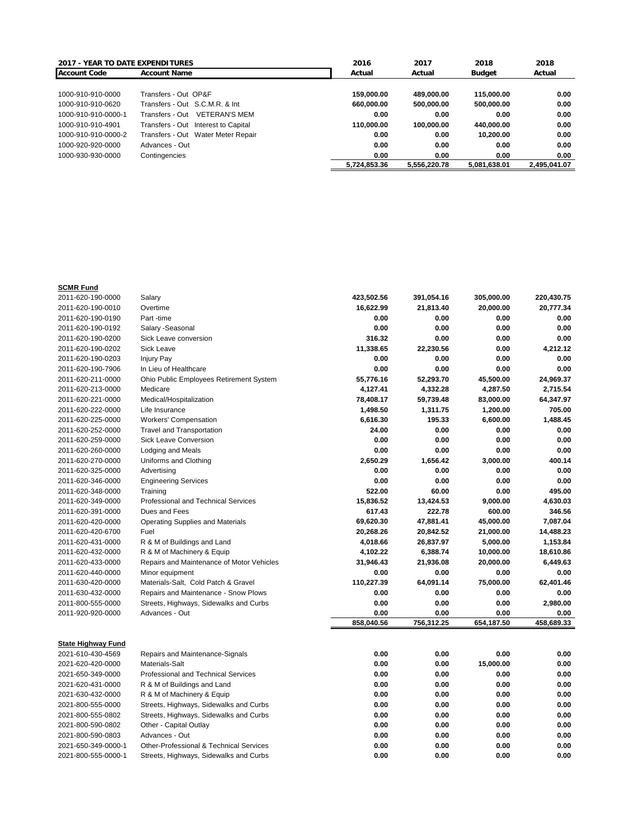| <b>2017 - YEAR TO DATE EXPENDITURES</b> |                                         | 2016         | 2017         | 2018         | 2018         |
|-----------------------------------------|-----------------------------------------|--------------|--------------|--------------|--------------|
| <b>Account Code</b>                     | <b>Account Name</b>                     | Actual       | Actual       | Budget       | Actual       |
|                                         |                                         |              |              |              |              |
| 1000-910-910-0000                       | Transfers - Out OP&F                    | 159.000.00   | 489.000.00   | 115,000,00   | 0.00         |
| 1000-910-910-0620                       | Transfers - Out S.C.M.R. & Int          | 660.000.00   | 500.000.00   | 500.000.00   | 0.00         |
| 1000-910-910-0000-1                     | <b>VETERAN'S MEM</b><br>Transfers - Out | 0.00         | 0.00         | 0.00         | 0.00         |
| 1000-910-910-4901                       | Transfers - Out Interest to Capital     | 110.000.00   | 100.000.00   | 440.000.00   | 0.00         |
| 1000-910-910-0000-2                     | Transfers - Out Water Meter Repair      | 0.00         | 0.00         | 10.200.00    | 0.00         |
| 1000-920-920-0000                       | Advances - Out                          | 0.00         | 0.00         | 0.00         | 0.00         |
| 1000-930-930-0000                       | Contingencies                           | 0.00         | 0.00         | 0.00         | 0.00         |
|                                         |                                         | 5.724.853.36 | 5.556.220.78 | 5.081.638.01 | 2.495.041.07 |

## **SCMR Fund**

| 2011-620-190-0000         | Salary                                             | 423,502.56 | 391,054.16 | 305,000.00 | 220,430.75 |
|---------------------------|----------------------------------------------------|------------|------------|------------|------------|
| 2011-620-190-0010         | Overtime                                           | 16,622.99  | 21,813.40  | 20,000.00  | 20,777.34  |
| 2011-620-190-0190         | Part -time                                         | 0.00       | 0.00       | 0.00       | 0.00       |
| 2011-620-190-0192         | Salary - Seasonal                                  | 0.00       | 0.00       | 0.00       | 0.00       |
| 2011-620-190-0200         | Sick Leave conversion                              | 316.32     | 0.00       | 0.00       | 0.00       |
| 2011-620-190-0202         | <b>Sick Leave</b>                                  | 11,338.65  | 22,230.56  | 0.00       | 4,212.12   |
| 2011-620-190-0203         | <b>Injury Pay</b>                                  | 0.00       | 0.00       | 0.00       | 0.00       |
| 2011-620-190-7906         | In Lieu of Healthcare                              | 0.00       | 0.00       | 0.00       | 0.00       |
| 2011-620-211-0000         | Ohio Public Employees Retirement System            | 55,776.16  | 52,293.70  | 45,500.00  | 24,969.37  |
| 2011-620-213-0000         | Medicare                                           | 4,127.41   | 4,332.28   | 4,287.50   | 2,715.54   |
| 2011-620-221-0000         | Medical/Hospitalization                            | 78,408.17  | 59,739.48  | 83,000.00  | 64,347.97  |
| 2011-620-222-0000         | Life Insurance                                     | 1,498.50   | 1,311.75   | 1,200.00   | 705.00     |
| 2011-620-225-0000         | <b>Workers' Compensation</b>                       | 6,616.30   | 195.33     | 6,600.00   | 1,488.45   |
| 2011-620-252-0000         | <b>Travel and Transportation</b>                   | 24.00      | 0.00       | 0.00       | 0.00       |
| 2011-620-259-0000         | <b>Sick Leave Conversion</b>                       | 0.00       | 0.00       | 0.00       | 0.00       |
| 2011-620-260-0000         | <b>Lodging and Meals</b>                           | 0.00       | 0.00       | 0.00       | 0.00       |
| 2011-620-270-0000         | Uniforms and Clothing                              | 2,650.29   | 1,656.42   | 3,000.00   | 400.14     |
| 2011-620-325-0000         | Advertising                                        | 0.00       | 0.00       | 0.00       | 0.00       |
| 2011-620-346-0000         | <b>Engineering Services</b>                        | 0.00       | 0.00       | 0.00       | 0.00       |
| 2011-620-348-0000         | Training                                           | 522.00     | 60.00      | 0.00       | 495.00     |
| 2011-620-349-0000         | <b>Professional and Technical Services</b>         | 15,836.52  | 13,424.53  | 9,000.00   | 4,630.03   |
| 2011-620-391-0000         | Dues and Fees                                      | 617.43     | 222.78     | 600.00     | 346.56     |
| 2011-620-420-0000         | <b>Operating Supplies and Materials</b>            | 69,620.30  | 47,881.41  | 45,000.00  | 7,087.04   |
| 2011-620-420-6700         | Fuel                                               | 20,268.26  | 20,842.52  | 21,000.00  | 14,488.23  |
| 2011-620-431-0000         | R & M of Buildings and Land                        | 4,018.66   | 26,837.97  | 5,000.00   | 1,153.84   |
| 2011-620-432-0000         | R & M of Machinery & Equip                         | 4,102.22   | 6,388.74   | 10,000.00  | 18,610.86  |
| 2011-620-433-0000         | Repairs and Maintenance of Motor Vehicles          | 31,946.43  | 21,936.08  | 20,000.00  | 6,449.63   |
| 2011-620-440-0000         | Minor equipment                                    | 0.00       | 0.00       | 0.00       | 0.00       |
| 2011-630-420-0000         | Materials-Salt, Cold Patch & Gravel                | 110,227.39 | 64,091.14  | 75,000.00  | 62,401.46  |
| 2011-630-432-0000         | Repairs and Maintenance - Snow Plows               | 0.00       | 0.00       | 0.00       | 0.00       |
| 2011-800-555-0000         | Streets, Highways, Sidewalks and Curbs             | 0.00       | 0.00       | 0.00       | 2,980.00   |
| 2011-920-920-0000         | Advances - Out                                     | 0.00       | 0.00       | 0.00       | 0.00       |
|                           |                                                    | 858,040.56 | 756,312.25 | 654,187.50 | 458,689.33 |
|                           |                                                    |            |            |            |            |
| <b>State Highway Fund</b> |                                                    |            |            |            |            |
| 2021-610-430-4569         | Repairs and Maintenance-Signals                    | 0.00       | 0.00       | 0.00       | 0.00       |
| 2021-620-420-0000         | Materials-Salt                                     | 0.00       | 0.00       | 15,000.00  | 0.00       |
| 2021-650-349-0000         | <b>Professional and Technical Services</b>         | 0.00       | 0.00       | 0.00       | 0.00       |
| 2021-620-431-0000         | R & M of Buildings and Land                        | 0.00       | 0.00       | 0.00       | 0.00       |
| 2021-630-432-0000         | R & M of Machinery & Equip                         | 0.00       | 0.00       | 0.00       | 0.00       |
| 2021-800-555-0000         | Streets, Highways, Sidewalks and Curbs             | 0.00       | 0.00       | 0.00       | 0.00       |
| 2021-800-555-0802         | Streets, Highways, Sidewalks and Curbs             | 0.00       | 0.00       | 0.00       | 0.00       |
| 2021-800-590-0802         | Other - Capital Outlay                             | 0.00       | 0.00       | 0.00       | 0.00       |
| 2021-800-590-0803         | Advances - Out                                     | 0.00       | 0.00       | 0.00       | 0.00       |
| 2021-650-349-0000-1       | <b>Other-Professional &amp; Technical Services</b> | 0.00       | 0.00       | 0.00       | 0.00       |
| 2021-800-555-0000-1       | Streets, Highways, Sidewalks and Curbs             | 0.00       | 0.00       | 0.00       | 0.00       |
|                           |                                                    |            |            |            |            |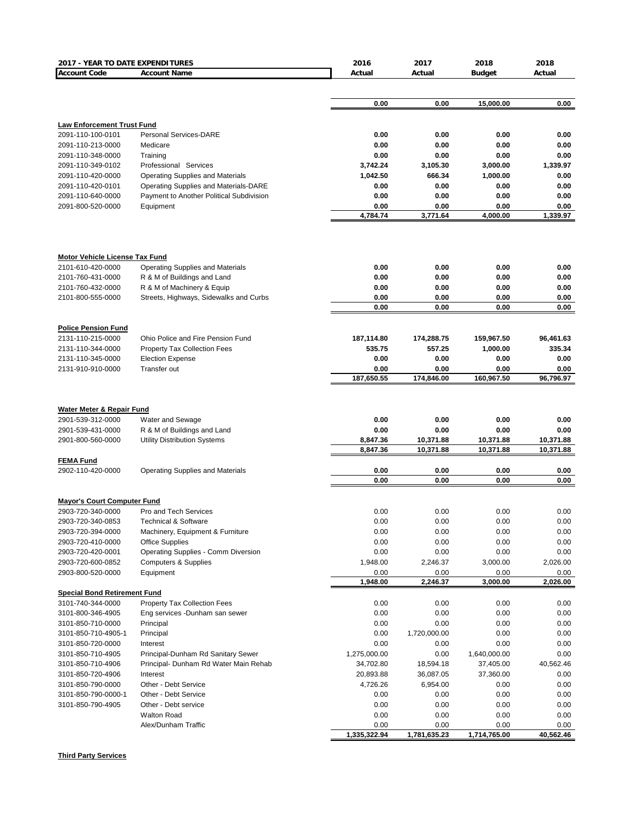| 2017 - YEAR TO DATE EXPENDITURES                          |                                           | 2016             | 2017             | 2018             | 2018             |
|-----------------------------------------------------------|-------------------------------------------|------------------|------------------|------------------|------------------|
| <b>Account Code</b>                                       | <b>Account Name</b>                       | Actual           | Actual           | <b>Budget</b>    | Actual           |
|                                                           |                                           |                  |                  |                  |                  |
|                                                           |                                           | 0.00             | 0.00             | 15,000.00        | 0.00             |
|                                                           |                                           |                  |                  |                  |                  |
| <b>Law Enforcement Trust Fund</b>                         |                                           |                  |                  |                  |                  |
| 2091-110-100-0101                                         | Personal Services-DARE                    | 0.00             | 0.00             | 0.00             | 0.00             |
| 2091-110-213-0000                                         | Medicare                                  | 0.00             | 0.00             | 0.00             | 0.00             |
| 2091-110-348-0000                                         | Training                                  | 0.00             | 0.00             | 0.00             | 0.00             |
| 2091-110-349-0102                                         | Professional Services                     | 3.742.24         | 3,105.30         | 3,000.00         | 1,339.97         |
| 2091-110-420-0000                                         | <b>Operating Supplies and Materials</b>   | 1,042.50         | 666.34           | 1,000.00         | 0.00             |
| 2091-110-420-0101                                         | Operating Supplies and Materials-DARE     | 0.00             | 0.00             | 0.00             | 0.00             |
| 2091-110-640-0000                                         | Payment to Another Political Subdivision  | 0.00             | 0.00             | 0.00             | 0.00             |
| 2091-800-520-0000                                         | Equipment                                 | 0.00<br>4,784.74 | 0.00<br>3,771.64 | 0.00<br>4,000.00 | 0.00<br>1,339.97 |
|                                                           |                                           |                  |                  |                  |                  |
| <b>Motor Vehicle License Tax Fund</b>                     |                                           |                  |                  |                  |                  |
| 2101-610-420-0000                                         | <b>Operating Supplies and Materials</b>   | 0.00             | 0.00             | 0.00             | 0.00             |
| 2101-760-431-0000                                         | R & M of Buildings and Land               | 0.00             | 0.00             | 0.00             | 0.00             |
| 2101-760-432-0000                                         | R & M of Machinery & Equip                | 0.00             | 0.00             | 0.00             | 0.00             |
| 2101-800-555-0000                                         | Streets, Highways, Sidewalks and Curbs    | 0.00             | 0.00             | 0.00             | 0.00             |
|                                                           |                                           | 0.00             | 0.00             | 0.00             | 0.00             |
|                                                           |                                           |                  |                  |                  |                  |
| <b>Police Pension Fund</b><br>2131-110-215-0000           | Ohio Police and Fire Pension Fund         | 187,114.80       | 174,288.75       | 159,967.50       | 96,461.63        |
| 2131-110-344-0000                                         | <b>Property Tax Collection Fees</b>       | 535.75           | 557.25           | 1,000.00         | 335.34           |
| 2131-110-345-0000                                         | <b>Election Expense</b>                   | 0.00             | 0.00             | 0.00             | 0.00             |
| 2131-910-910-0000                                         | Transfer out                              | 0.00             | 0.00             | 0.00             | 0.00             |
|                                                           |                                           | 187,650.55       | 174,846.00       | 160,967.50       | 96,796.97        |
|                                                           |                                           |                  |                  |                  |                  |
|                                                           |                                           |                  |                  |                  |                  |
| <b>Water Meter &amp; Repair Fund</b><br>2901-539-312-0000 | Water and Sewage                          | 0.00             | 0.00             | 0.00             | 0.00             |
| 2901-539-431-0000                                         | R & M of Buildings and Land               | 0.00             | 0.00             | 0.00             | 0.00             |
| 2901-800-560-0000                                         | Utility Distribution Systems              | 8,847.36         | 10,371.88        | 10,371.88        | 10,371.88        |
|                                                           |                                           | 8,847.36         | 10,371.88        | 10,371.88        | 10,371.88        |
| <b>FEMA Fund</b>                                          |                                           |                  |                  |                  |                  |
| 2902-110-420-0000                                         | <b>Operating Supplies and Materials</b>   | 0.00             | 0.00             | 0.00             | 0.00             |
|                                                           |                                           | 0.00             | 0.00             | 0.00             | 0.00             |
|                                                           |                                           |                  |                  |                  |                  |
| <b>Mayor's Court Computer Fund</b><br>2903-720-340-0000   | <b>Pro and Tech Services</b>              | 0.00             | 0.00             | 0.00             | 0.00             |
| 2903-720-340-0853                                         | <b>Technical &amp; Software</b>           | 0.00             | 0.00             | 0.00             | 0.00             |
| 2903-720-394-0000                                         | Machinery, Equipment & Furniture          | 0.00             | 0.00             | 0.00             | 0.00             |
| 2903-720-410-0000                                         | <b>Office Supplies</b>                    | 0.00             | 0.00             | 0.00             | 0.00             |
| 2903-720-420-0001                                         | Operating Supplies - Comm Diversion       | 0.00             | 0.00             | 0.00             | 0.00             |
| 2903-720-600-0852                                         | <b>Computers &amp; Supplies</b>           | 1,948.00         | 2,246.37         | 3,000.00         | 2,026.00         |
| 2903-800-520-0000                                         | Equipment                                 | 0.00             | 0.00             | 0.00             | 0.00             |
|                                                           |                                           | 1,948.00         | 2,246.37         | 3,000.00         | 2,026.00         |
| <b>Special Bond Retirement Fund</b>                       |                                           |                  |                  |                  |                  |
| 3101-740-344-0000                                         | Property Tax Collection Fees              | 0.00             | 0.00             | 0.00             | 0.00             |
| 3101-800-346-4905                                         | Eng services -Dunham san sewer            | 0.00             | 0.00             | 0.00             | 0.00             |
| 3101-850-710-0000                                         | Principal                                 | 0.00             | 0.00             | 0.00             | 0.00             |
| 3101-850-710-4905-1                                       | Principal                                 | 0.00             | 1,720,000.00     | 0.00             | 0.00             |
| 3101-850-720-0000                                         | Interest                                  | 0.00             | 0.00             | 0.00             | 0.00             |
| 3101-850-710-4905                                         | Principal-Dunham Rd Sanitary Sewer        | 1,275,000.00     | 0.00             | 1,640,000.00     | 0.00             |
| 3101-850-710-4906                                         | Principal- Dunham Rd Water Main Rehab     | 34,702.80        | 18,594.18        | 37,405.00        | 40,562.46        |
| 3101-850-720-4906                                         | Interest                                  | 20,893.88        | 36,087.05        | 37,360.00        | 0.00             |
| 3101-850-790-0000                                         | Other - Debt Service                      | 4,726.26         | 6,954.00         | 0.00             | 0.00             |
| 3101-850-790-0000-1                                       | Other - Debt Service                      | 0.00             | 0.00             | 0.00             | 0.00             |
| 3101-850-790-4905                                         | Other - Debt service                      | 0.00             | 0.00             | 0.00             | 0.00             |
|                                                           | <b>Walton Road</b><br>Alex/Dunham Traffic | 0.00<br>0.00     | 0.00<br>0.00     | 0.00<br>0.00     | 0.00<br>0.00     |
|                                                           |                                           | 1,335,322.94     | 1,781,635.23     | 1,714,765.00     | 40,562.46        |
|                                                           |                                           |                  |                  |                  |                  |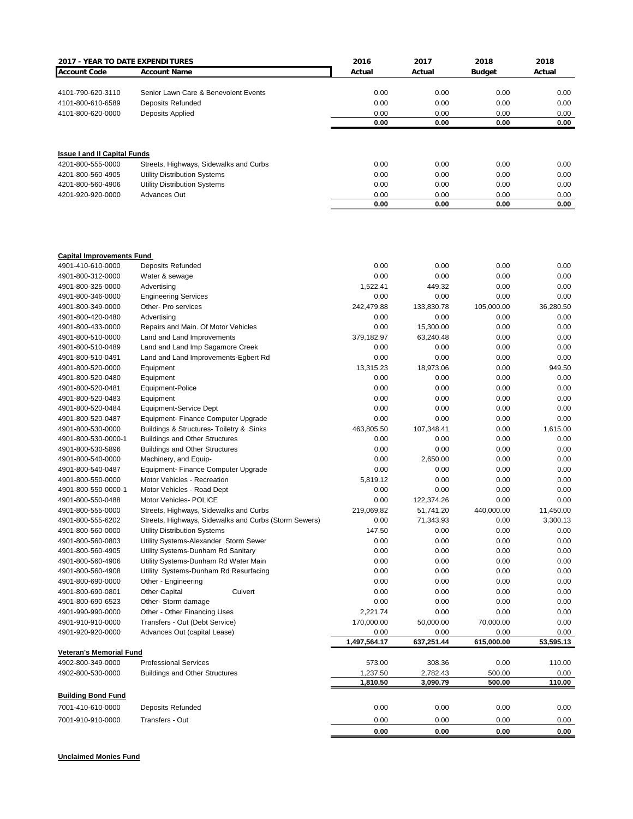| 2017 - YEAR TO DATE EXPENDITURES       |                                                                | 2016               | 2017              | 2018              | 2018         |
|----------------------------------------|----------------------------------------------------------------|--------------------|-------------------|-------------------|--------------|
| <b>Account Code</b>                    | <b>Account Name</b>                                            | Actual             | Actual            | <b>Budget</b>     | Actual       |
|                                        |                                                                |                    |                   |                   |              |
| 4101-790-620-3110                      | Senior Lawn Care & Benevolent Events                           | 0.00               | 0.00              | 0.00              | 0.00         |
| 4101-800-610-6589                      | Deposits Refunded                                              | 0.00               | 0.00              | 0.00              | 0.00         |
| 4101-800-620-0000                      | Deposits Applied                                               | 0.00               | 0.00              | 0.00              | 0.00         |
|                                        |                                                                | 0.00               | 0.00              | 0.00              | 0.00         |
| <b>Issue I and II Capital Funds</b>    |                                                                |                    |                   |                   |              |
| 4201-800-555-0000                      | Streets, Highways, Sidewalks and Curbs                         | 0.00               | 0.00              | 0.00              | 0.00         |
| 4201-800-560-4905                      | <b>Utility Distribution Systems</b>                            | 0.00               | 0.00              | 0.00              | 0.00         |
| 4201-800-560-4906                      | <b>Utility Distribution Systems</b>                            | 0.00               | 0.00              | 0.00              | 0.00         |
| 4201-920-920-0000                      | <b>Advances Out</b>                                            | 0.00               | 0.00              | 0.00              | 0.00         |
|                                        |                                                                | 0.00               | 0.00              | 0.00              | 0.00         |
| <b>Capital Improvements Fund</b>       |                                                                |                    |                   |                   |              |
| 4901-410-610-0000                      | <b>Deposits Refunded</b>                                       | 0.00               | 0.00              | 0.00              | 0.00         |
| 4901-800-312-0000                      | Water & sewage                                                 | 0.00               | 0.00              | 0.00              | 0.00         |
| 4901-800-325-0000                      | Advertising                                                    | 1,522.41           | 449.32            | 0.00              | 0.00         |
| 4901-800-346-0000                      | <b>Engineering Services</b>                                    | 0.00               | 0.00              | 0.00              | 0.00         |
| 4901-800-349-0000                      | Other- Pro services                                            | 242,479.88         | 133,830.78        | 105,000.00        | 36,280.50    |
| 4901-800-420-0480                      | Advertising                                                    | 0.00               | 0.00              | 0.00              | 0.00         |
| 4901-800-433-0000                      | Repairs and Main. Of Motor Vehicles                            | 0.00               | 15,300.00         | 0.00              | 0.00         |
| 4901-800-510-0000                      | Land and Land Improvements                                     | 379,182.97         | 63,240.48         | 0.00              | 0.00         |
| 4901-800-510-0489                      | Land and Land Imp Sagamore Creek                               | 0.00               | 0.00              | 0.00              | 0.00         |
| 4901-800-510-0491                      | Land and Land Improvements-Egbert Rd                           | 0.00               | 0.00              | 0.00              | 0.00         |
| 4901-800-520-0000                      | Equipment                                                      | 13,315.23          | 18,973.06         | 0.00              | 949.50       |
| 4901-800-520-0480                      | Equipment                                                      | 0.00               | 0.00              | 0.00              | 0.00         |
| 4901-800-520-0481                      | Equipment-Police                                               | 0.00               | 0.00              | 0.00              | 0.00         |
| 4901-800-520-0483<br>4901-800-520-0484 | Equipment                                                      | 0.00<br>0.00       | 0.00<br>0.00      | 0.00<br>0.00      | 0.00<br>0.00 |
| 4901-800-520-0487                      | Equipment-Service Dept<br>Equipment- Finance Computer Upgrade  | 0.00               | 0.00              | 0.00              | 0.00         |
| 4901-800-530-0000                      | Buildings & Structures- Toiletry & Sinks                       | 463,805.50         | 107,348.41        | 0.00              | 1,615.00     |
| 4901-800-530-0000-1                    | <b>Buildings and Other Structures</b>                          | 0.00               | 0.00              | 0.00              | 0.00         |
| 4901-800-530-5896                      | <b>Buildings and Other Structures</b>                          | 0.00               | 0.00              | 0.00              | 0.00         |
| 4901-800-540-0000                      | Machinery, and Equip-                                          | 0.00               | 2,650.00          | 0.00              | 0.00         |
| 4901-800-540-0487                      | Equipment- Finance Computer Upgrade                            | 0.00               | 0.00              | 0.00              | 0.00         |
| 4901-800-550-0000                      | Motor Vehicles - Recreation                                    | 5,819.12           | 0.00              | 0.00              | 0.00         |
| 4901-800-550-0000-1                    | Motor Vehicles - Road Dept                                     | 0.00               | 0.00              | 0.00              | 0.00         |
| 4901-800-550-0488                      | Motor Vehicles- POLICE                                         | 0.00               | 122,374.26        | 0.00              | 0.00         |
| 4901-800-555-0000                      | Streets, Highways, Sidewalks and Curbs                         | 219,069.82         | 51,741.20         | 440,000.00        | 11,450.00    |
| 4901-800-555-6202                      | Streets, Highways, Sidewalks and Curbs (Storm Sewers)          | 0.00               | 71,343.93         | 0.00              | 3,300.13     |
| 4901-800-560-0000                      | Utility Distribution Systems                                   | 147.50             | 0.00              | 0.00              | 0.00         |
| 4901-800-560-0803                      | Utility Systems-Alexander Storm Sewer                          | 0.00               | 0.00              | 0.00              | 0.00         |
| 4901-800-560-4905                      | Utility Systems-Dunham Rd Sanitary                             | 0.00               | 0.00              | 0.00              | 0.00         |
| 4901-800-560-4906                      | Utility Systems-Dunham Rd Water Main                           | 0.00               | 0.00              | 0.00              | 0.00         |
| 4901-800-560-4908                      | Utility Systems-Dunham Rd Resurfacing                          | 0.00               | 0.00              | 0.00              | 0.00         |
| 4901-800-690-0000                      | Other - Engineering                                            | 0.00               | 0.00              | 0.00              | 0.00         |
| 4901-800-690-0801                      | <b>Other Capital</b><br>Culvert                                | 0.00               | 0.00              | 0.00              | 0.00         |
| 4901-800-690-6523                      | Other-Storm damage                                             | 0.00               | 0.00              | 0.00              | 0.00         |
| 4901-990-990-0000                      | Other - Other Financing Uses                                   | 2,221.74           | 0.00              | 0.00              | 0.00         |
| 4901-910-910-0000<br>4901-920-920-0000 | Transfers - Out (Debt Service)<br>Advances Out (capital Lease) | 170,000.00<br>0.00 | 50,000.00<br>0.00 | 70,000.00<br>0.00 | 0.00<br>0.00 |
|                                        |                                                                | 1,497,564.17       | 637,251.44        | 615,000.00        | 53,595.13    |
| <b>Veteran's Memorial Fund</b>         |                                                                |                    |                   |                   |              |
| 4902-800-349-0000                      | <b>Professional Services</b>                                   | 573.00             | 308.36            | 0.00              | 110.00       |
| 4902-800-530-0000                      | <b>Buildings and Other Structures</b>                          | 1,237.50           | 2,782.43          | 500.00            | 0.00         |
|                                        |                                                                | 1,810.50           | 3,090.79          | 500.00            | 110.00       |
| <b>Building Bond Fund</b>              |                                                                |                    |                   |                   |              |
| 7001-410-610-0000                      | Deposits Refunded                                              | 0.00               | 0.00              | 0.00              | 0.00         |
| 7001-910-910-0000                      | Transfers - Out                                                | 0.00               | 0.00              | 0.00              | 0.00         |
|                                        |                                                                | 0.00               | 0.00              | 0.00              | 0.00         |

**Unclaimed Monies Fund**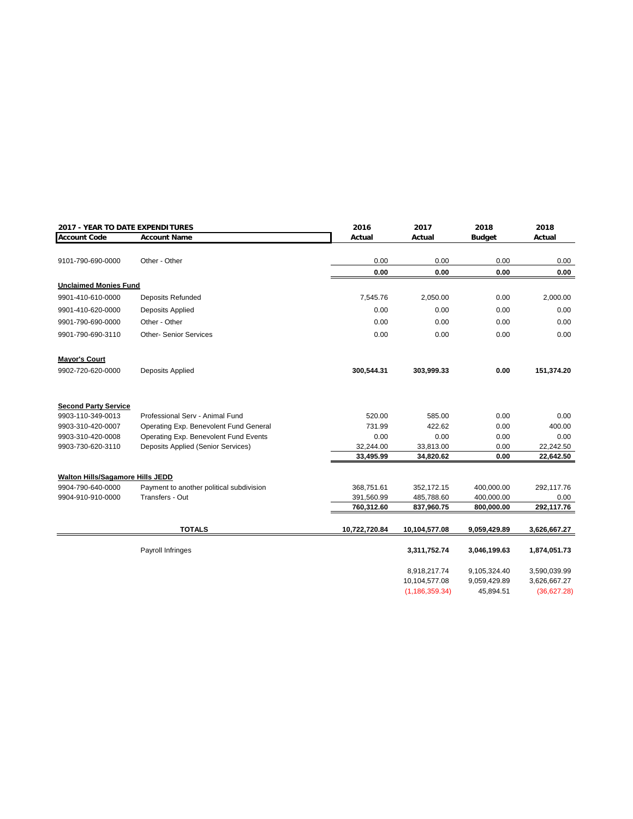|                                         | <b>2017 - YEAR TO DATE EXPENDITURES</b>  |               | 2017             | 2018          | 2018         |
|-----------------------------------------|------------------------------------------|---------------|------------------|---------------|--------------|
| <b>Account Code</b>                     | <b>Account Name</b>                      | Actual        | Actual           | <b>Budget</b> | Actual       |
|                                         |                                          |               |                  |               |              |
| 9101-790-690-0000                       | Other - Other                            | 0.00          | 0.00             | 0.00          | 0.00         |
|                                         |                                          | 0.00          | 0.00             | 0.00          | 0.00         |
| <b>Unclaimed Monies Fund</b>            |                                          |               |                  |               |              |
| 9901-410-610-0000                       | <b>Deposits Refunded</b>                 | 7,545.76      | 2,050.00         | 0.00          | 2,000.00     |
| 9901-410-620-0000                       | Deposits Applied                         | 0.00          | 0.00             | 0.00          | 0.00         |
| 9901-790-690-0000                       | Other - Other                            | 0.00          | 0.00             | 0.00          | 0.00         |
| 9901-790-690-3110                       | <b>Other- Senior Services</b>            | 0.00          | 0.00             | 0.00          | 0.00         |
| <b>Mayor's Court</b>                    |                                          |               |                  |               |              |
| 9902-720-620-0000                       | Deposits Applied                         | 300,544.31    | 303,999.33       | 0.00          | 151,374.20   |
| <b>Second Party Service</b>             |                                          |               |                  |               |              |
| 9903-110-349-0013                       | Professional Serv - Animal Fund          | 520.00        | 585.00           | 0.00          | 0.00         |
| 9903-310-420-0007                       | Operating Exp. Benevolent Fund General   | 731.99        | 422.62           | 0.00          | 400.00       |
| 9903-310-420-0008                       | Operating Exp. Benevolent Fund Events    | 0.00          | 0.00             | 0.00          | 0.00         |
| 9903-730-620-3110                       | Deposits Applied (Senior Services)       | 32,244.00     | 33,813.00        | 0.00          | 22,242.50    |
|                                         |                                          | 33,495.99     | 34,820.62        | 0.00          | 22,642.50    |
| <b>Walton Hills/Sagamore Hills JEDD</b> |                                          |               |                  |               |              |
| 9904-790-640-0000                       | Payment to another political subdivision | 368,751.61    | 352,172.15       | 400,000.00    | 292,117.76   |
| 9904-910-910-0000                       | Transfers - Out                          | 391,560.99    | 485,788.60       | 400,000.00    | 0.00         |
|                                         |                                          | 760,312.60    | 837,960.75       | 800,000.00    | 292,117.76   |
|                                         | <b>TOTALS</b>                            | 10,722,720.84 | 10,104,577.08    | 9,059,429.89  | 3,626,667.27 |
|                                         | Payroll Infringes                        |               | 3,311,752.74     | 3,046,199.63  | 1,874,051.73 |
|                                         |                                          |               | 8,918,217.74     | 9,105,324.40  | 3,590,039.99 |
|                                         |                                          |               | 10,104,577.08    | 9,059,429.89  | 3,626,667.27 |
|                                         |                                          |               | (1, 186, 359.34) | 45,894.51     | (36,627.28)  |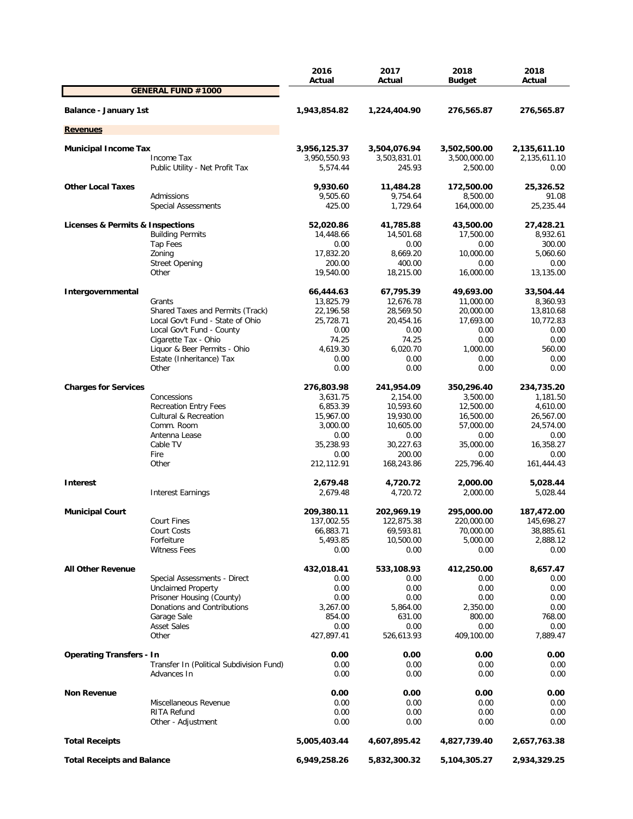|                                   |                                                               | 2016<br>Actual           | 2017<br>Actual           | 2018                     | 2018<br>Actual           |
|-----------------------------------|---------------------------------------------------------------|--------------------------|--------------------------|--------------------------|--------------------------|
|                                   | <b>GENERAL FUND #1000</b>                                     |                          |                          | <b>Budget</b>            |                          |
| Balance - January 1st             |                                                               | 1,943,854.82             | 1,224,404.90             | 276,565.87               | 276,565.87               |
| <b>Revenues</b>                   |                                                               |                          |                          |                          |                          |
|                                   |                                                               |                          |                          |                          |                          |
| <b>Municipal Income Tax</b>       |                                                               | 3,956,125.37             | 3,504,076.94             | 3,502,500.00             | 2,135,611.10             |
|                                   | Income Tax<br>Public Utility - Net Profit Tax                 | 3,950,550.93<br>5,574.44 | 3,503,831.01<br>245.93   | 3,500,000.00<br>2,500.00 | 2,135,611.10<br>0.00     |
|                                   |                                                               |                          |                          |                          |                          |
| <b>Other Local Taxes</b>          |                                                               | 9,930.60                 | 11,484.28                | 172,500.00               | 25,326.52                |
|                                   | Admissions                                                    | 9,505.60                 | 9,754.64                 | 8,500.00                 | 91.08                    |
|                                   | <b>Special Assessments</b>                                    | 425.00                   | 1,729.64                 | 164,000.00               | 25,235.44                |
| Licenses & Permits & Inspections  |                                                               | 52,020.86                | 41,785.88                | 43,500.00                | 27,428.21                |
|                                   | <b>Building Permits</b>                                       | 14,448.66                | 14,501.68                | 17,500.00                | 8,932.61                 |
|                                   | Tap Fees                                                      | 0.00                     | 0.00                     | 0.00                     | 300.00                   |
|                                   | Zoning                                                        | 17,832.20                | 8,669.20                 | 10,000.00                | 5,060.60                 |
|                                   | <b>Street Opening</b>                                         | 200.00                   | 400.00                   | 0.00                     | 0.00                     |
|                                   | Other                                                         | 19,540.00                | 18,215.00                | 16,000.00                | 13,135.00                |
|                                   |                                                               |                          |                          |                          |                          |
| Intergovernmental                 |                                                               | 66,444.63                | 67,795.39                | 49,693.00                | 33,504.44                |
|                                   | Grants                                                        | 13,825.79                | 12,676.78                | 11,000.00                | 8,360.93                 |
|                                   | Shared Taxes and Permits (Track)                              | 22,196.58                | 28,569.50                | 20,000.00                | 13,810.68                |
|                                   | Local Gov't Fund - State of Ohio<br>Local Gov't Fund - County | 25,728.71<br>0.00        | 20,454.16<br>0.00        | 17,693.00<br>0.00        | 10,772.83<br>0.00        |
|                                   | Cigarette Tax - Ohio                                          | 74.25                    | 74.25                    | 0.00                     | 0.00                     |
|                                   | Liquor & Beer Permits - Ohio                                  | 4,619.30                 | 6,020.70                 | 1,000.00                 | 560.00                   |
|                                   | Estate (Inheritance) Tax                                      | 0.00                     | 0.00                     | 0.00                     | 0.00                     |
|                                   | Other                                                         | 0.00                     | 0.00                     | 0.00                     | 0.00                     |
|                                   |                                                               |                          |                          |                          |                          |
| <b>Charges for Services</b>       |                                                               | 276,803.98               | 241,954.09               | 350,296.40               | 234,735.20               |
|                                   | Concessions                                                   | 3,631.75                 | 2,154.00                 | 3,500.00                 | 1,181.50                 |
|                                   | <b>Recreation Entry Fees</b>                                  | 6,853.39                 | 10,593.60                | 12,500.00                | 4,610.00                 |
|                                   | <b>Cultural &amp; Recreation</b>                              | 15,967.00                | 19,930.00                | 16,500.00                | 26,567.00                |
|                                   | Comm. Room                                                    | 3,000.00                 | 10,605.00                | 57,000.00                | 24,574.00                |
|                                   | Antenna Lease                                                 | 0.00                     | 0.00                     | 0.00                     | 0.00                     |
|                                   | Cable TV                                                      | 35,238.93                | 30,227.63                | 35,000.00                | 16,358.27                |
|                                   | Fire<br>Other                                                 | 0.00<br>212,112.91       | 200.00<br>168,243.86     | 0.00<br>225,796.40       | 0.00<br>161,444.43       |
|                                   |                                                               |                          |                          |                          |                          |
| <b>Interest</b>                   |                                                               | 2,679.48                 | 4,720.72                 | 2,000.00                 | 5,028.44                 |
|                                   | <b>Interest Earnings</b>                                      | 2,679.48                 | 4,720.72                 | 2,000.00                 | 5,028.44                 |
| <b>Municipal Court</b>            |                                                               |                          |                          | 295,000.00               |                          |
|                                   | <b>Court Fines</b>                                            | 209,380.11<br>137,002.55 | 202,969.19<br>122,875.38 | 220,000.00               | 187,472.00<br>145,698.27 |
|                                   | Court Costs                                                   | 66,883.71                | 69,593.81                | 70,000.00                | 38,885.61                |
|                                   | Forfeiture                                                    | 5,493.85                 | 10,500.00                | 5,000.00                 | 2,888.12                 |
|                                   | <b>Witness Fees</b>                                           | 0.00                     | 0.00                     | 0.00                     | 0.00                     |
|                                   |                                                               |                          |                          |                          |                          |
| <b>All Other Revenue</b>          |                                                               | 432,018.41               | 533,108.93               | 412,250.00               | 8,657.47                 |
|                                   | Special Assessments - Direct                                  | 0.00                     | 0.00                     | 0.00                     | 0.00                     |
|                                   | <b>Unclaimed Property</b>                                     | 0.00                     | 0.00                     | 0.00                     | 0.00                     |
|                                   | Prisoner Housing (County)                                     | 0.00                     | 0.00                     | 0.00                     | 0.00                     |
|                                   | Donations and Contributions                                   | 3,267.00                 | 5,864.00                 | 2,350.00                 | 0.00                     |
|                                   | Garage Sale                                                   | 854.00                   | 631.00                   | 800.00                   | 768.00                   |
|                                   | <b>Asset Sales</b>                                            | 0.00                     | 0.00                     | 0.00<br>409,100.00       | 0.00                     |
|                                   | Other                                                         | 427,897.41               | 526,613.93               |                          | 7,889.47                 |
| <b>Operating Transfers - In</b>   |                                                               | 0.00                     | 0.00                     | 0.00                     | 0.00                     |
|                                   | Transfer In (Political Subdivision Fund)                      | 0.00                     | 0.00                     | 0.00                     | 0.00                     |
|                                   | Advances In                                                   | 0.00                     | 0.00                     | 0.00                     | 0.00                     |
|                                   |                                                               |                          |                          |                          |                          |
| <b>Non Revenue</b>                |                                                               | 0.00                     | 0.00                     | 0.00                     | 0.00                     |
|                                   | Miscellaneous Revenue<br>RITA Refund                          | 0.00<br>0.00             | 0.00<br>0.00             | 0.00<br>0.00             | 0.00<br>0.00             |
|                                   | Other - Adjustment                                            | 0.00                     | 0.00                     | 0.00                     | 0.00                     |
| <b>Total Receipts</b>             |                                                               | 5,005,403.44             | 4,607,895.42             | 4,827,739.40             | 2,657,763.38             |
|                                   |                                                               |                          |                          |                          |                          |
| <b>Total Receipts and Balance</b> |                                                               | 6,949,258.26             | 5,832,300.32             | 5,104,305.27             | 2,934,329.25             |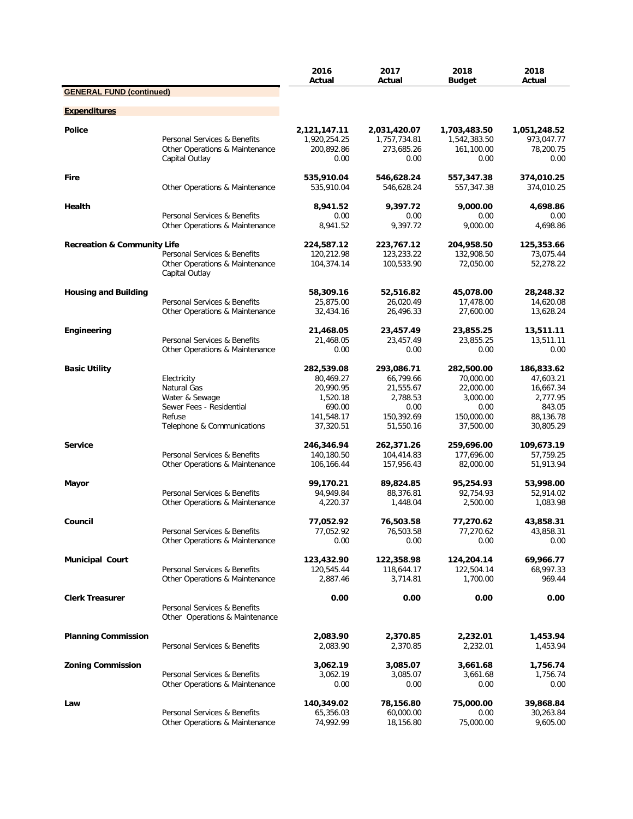|                                        |                                                                                                                  | 2016<br>Actual                                                                        | 2017<br>Actual                                                                      | 2018<br><b>Budget</b>                                                               | 2018<br>Actual                                                                       |
|----------------------------------------|------------------------------------------------------------------------------------------------------------------|---------------------------------------------------------------------------------------|-------------------------------------------------------------------------------------|-------------------------------------------------------------------------------------|--------------------------------------------------------------------------------------|
| <b>GENERAL FUND (continued)</b>        |                                                                                                                  |                                                                                       |                                                                                     |                                                                                     |                                                                                      |
| <b>Expenditures</b>                    |                                                                                                                  |                                                                                       |                                                                                     |                                                                                     |                                                                                      |
| Police                                 | Personal Services & Benefits<br>Other Operations & Maintenance<br>Capital Outlay                                 | 2,121,147.11<br>1,920,254.25<br>200,892.86<br>0.00                                    | 2,031,420.07<br>1,757,734.81<br>273,685.26<br>0.00                                  | 1,703,483.50<br>1,542,383.50<br>161,100.00<br>0.00                                  | 1,051,248.52<br>973,047.77<br>78,200.75<br>0.00                                      |
| Fire                                   | Other Operations & Maintenance                                                                                   | 535,910.04<br>535,910.04                                                              | 546,628.24<br>546,628.24                                                            | 557,347.38<br>557,347.38                                                            | 374,010.25<br>374,010.25                                                             |
| Health                                 | Personal Services & Benefits                                                                                     | 8,941.52<br>0.00                                                                      | 9,397.72<br>0.00                                                                    | 9,000.00<br>0.00                                                                    | 4,698.86<br>0.00                                                                     |
|                                        | Other Operations & Maintenance                                                                                   | 8,941.52                                                                              | 9,397.72                                                                            | 9,000.00                                                                            | 4,698.86                                                                             |
| <b>Recreation &amp; Community Life</b> | Personal Services & Benefits<br>Other Operations & Maintenance<br>Capital Outlay                                 | 224,587.12<br>120,212.98<br>104,374.14                                                | 223,767.12<br>123,233.22<br>100,533.90                                              | 204,958.50<br>132,908.50<br>72,050.00                                               | 125,353.66<br>73,075.44<br>52,278.22                                                 |
| <b>Housing and Building</b>            | Personal Services & Benefits<br>Other Operations & Maintenance                                                   | 58,309.16<br>25,875.00<br>32,434.16                                                   | 52,516.82<br>26,020.49<br>26,496.33                                                 | 45,078.00<br>17,478.00<br>27,600.00                                                 | 28,248.32<br>14,620.08<br>13,628.24                                                  |
| Engineering                            | Personal Services & Benefits<br>Other Operations & Maintenance                                                   | 21,468.05<br>21,468.05<br>0.00                                                        | 23,457.49<br>23,457.49<br>0.00                                                      | 23,855.25<br>23,855.25<br>0.00                                                      | 13,511.11<br>13,511.11<br>0.00                                                       |
| <b>Basic Utility</b>                   | Electricity<br>Natural Gas<br>Water & Sewage<br>Sewer Fees - Residential<br>Refuse<br>Telephone & Communications | 282,539.08<br>80,469.27<br>20,990.95<br>1,520.18<br>690.00<br>141,548.17<br>37,320.51 | 293,086.71<br>66,799.66<br>21,555.67<br>2,788.53<br>0.00<br>150,392.69<br>51,550.16 | 282,500.00<br>70,000.00<br>22,000.00<br>3,000.00<br>0.00<br>150,000.00<br>37,500.00 | 186,833.62<br>47,603.21<br>16,667.34<br>2,777.95<br>843.05<br>88,136.78<br>30,805.29 |
| <b>Service</b>                         | Personal Services & Benefits<br>Other Operations & Maintenance                                                   | 246,346.94<br>140,180.50<br>106,166.44                                                | 262,371.26<br>104,414.83<br>157,956.43                                              | 259,696.00<br>177,696.00<br>82,000.00                                               | 109,673.19<br>57,759.25<br>51,913.94                                                 |
| Mayor                                  | Personal Services & Benefits<br>Other Operations & Maintenance                                                   | 99,170.21<br>94,949.84<br>4,220.37                                                    | 89,824.85<br>88,376.81<br>1,448.04                                                  | 95,254.93<br>92,754.93<br>2,500.00                                                  | 53,998.00<br>52,914.02<br>1,083.98                                                   |
| Council                                | Personal Services & Benefits<br>Other Operations & Maintenance                                                   | 77,052.92<br>77,052.92<br>0.00                                                        | 76,503.58<br>76,503.58<br>0.00                                                      | 77,270.62<br>77,270.62<br>0.00                                                      | 43,858.31<br>43,858.31<br>0.00                                                       |
| <b>Municipal Court</b>                 | Personal Services & Benefits<br>Other Operations & Maintenance                                                   | 123,432.90<br>120,545.44<br>2,887.46                                                  | 122,358.98<br>118,644.17<br>3,714.81                                                | 124,204.14<br>122,504.14<br>1,700.00                                                | 69,966.77<br>68,997.33<br>969.44                                                     |
| <b>Clerk Treasurer</b>                 | Personal Services & Benefits<br>Other Operations & Maintenance                                                   | 0.00                                                                                  | 0.00                                                                                | 0.00                                                                                | 0.00                                                                                 |
| <b>Planning Commission</b>             | Personal Services & Benefits                                                                                     | 2,083.90<br>2,083.90                                                                  | 2,370.85<br>2,370.85                                                                | 2,232.01<br>2,232.01                                                                | 1,453.94<br>1,453.94                                                                 |
| <b>Zoning Commission</b>               | Personal Services & Benefits<br>Other Operations & Maintenance                                                   | 3,062.19<br>3,062.19<br>0.00                                                          | 3,085.07<br>3,085.07<br>0.00                                                        | 3,661.68<br>3,661.68<br>0.00                                                        | 1,756.74<br>1,756.74<br>0.00                                                         |
| Law                                    | Personal Services & Benefits<br>Other Operations & Maintenance                                                   | 140,349.02<br>65,356.03<br>74,992.99                                                  | 78,156.80<br>60,000.00<br>18,156.80                                                 | 75,000.00<br>0.00<br>75,000.00                                                      | 39,868.84<br>30,263.84<br>9,605.00                                                   |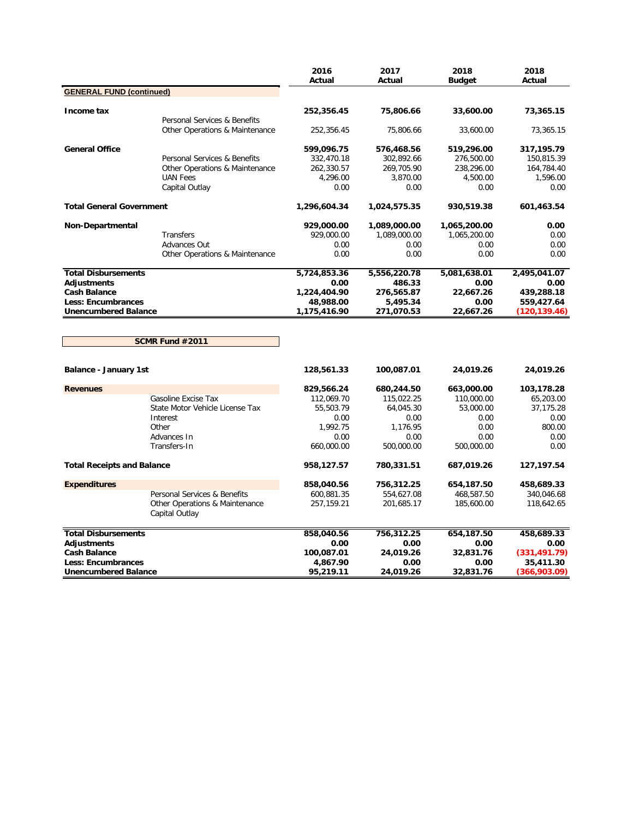|                                   |                                                  | 2016<br>Actual | 2017<br>Actual | 2018<br><b>Budget</b> | 2018<br>Actual |
|-----------------------------------|--------------------------------------------------|----------------|----------------|-----------------------|----------------|
| <b>GENERAL FUND (continued)</b>   |                                                  |                |                |                       |                |
|                                   |                                                  |                |                |                       |                |
| Income tax                        |                                                  | 252,356.45     | 75,806.66      | 33,600.00             | 73,365.15      |
|                                   | Personal Services & Benefits                     |                |                |                       |                |
|                                   | Other Operations & Maintenance                   | 252,356.45     | 75,806.66      | 33,600.00             | 73,365.15      |
| <b>General Office</b>             |                                                  | 599,096.75     | 576,468.56     | 519,296.00            | 317,195.79     |
|                                   | Personal Services & Benefits                     | 332,470.18     | 302,892.66     | 276,500.00            | 150,815.39     |
|                                   | Other Operations & Maintenance                   | 262,330.57     | 269,705.90     | 238,296.00            | 164,784.40     |
|                                   | <b>UAN Fees</b>                                  | 4,296.00       | 3,870.00       | 4,500.00              | 1,596.00       |
|                                   | Capital Outlay                                   | 0.00           | 0.00           | 0.00                  | 0.00           |
| <b>Total General Government</b>   |                                                  | 1,296,604.34   | 1,024,575.35   | 930,519.38            | 601,463.54     |
| Non-Departmental                  |                                                  | 929,000.00     | 1,089,000.00   | 1,065,200.00          | 0.00           |
|                                   | Transfers                                        | 929,000.00     | 1,089,000.00   | 1,065,200.00          | 0.00           |
|                                   | Advances Out                                     | 0.00           | 0.00           | 0.00                  | 0.00           |
|                                   | Other Operations & Maintenance                   | 0.00           | 0.00           | 0.00                  | 0.00           |
| <b>Total Disbursements</b>        |                                                  | 5,724,853.36   | 5,556,220.78   | 5,081,638.01          | 2,495,041.07   |
| Adjustments                       |                                                  | 0.00           | 486.33         | 0.00                  | 0.00           |
| <b>Cash Balance</b>               |                                                  | 1,224,404.90   | 276,565.87     | 22,667.26             | 439,288.18     |
| <b>Less: Encumbrances</b>         |                                                  | 48,988.00      | 5,495.34       | 0.00                  | 559,427.64     |
| <b>Unencumbered Balance</b>       |                                                  | 1,175,416.90   | 271,070.53     | 22,667.26             | (120,139.46)   |
|                                   | SCMR Fund #2011                                  |                |                |                       |                |
| <b>Balance - January 1st</b>      |                                                  | 128,561.33     | 100,087.01     | 24,019.26             | 24,019.26      |
| <b>Revenues</b>                   |                                                  | 829,566.24     | 680,244.50     | 663,000.00            | 103,178.28     |
|                                   | Gasoline Excise Tax                              | 112,069.70     | 115,022.25     | 110,000.00            | 65,203.00      |
|                                   | State Motor Vehicle License Tax                  | 55,503.79      | 64,045.30      | 53,000.00             | 37,175.28      |
|                                   | Interest                                         | 0.00           | 0.00           | 0.00                  | 0.00           |
|                                   | Other                                            | 1,992.75       | 1,176.95       | 0.00                  | 800.00         |
|                                   | Advances In                                      | 0.00           | 0.00           | 0.00                  | 0.00           |
|                                   | Transfers-In                                     | 660,000.00     | 500,000.00     | 500,000.00            | 0.00           |
| <b>Total Receipts and Balance</b> |                                                  | 958,127.57     | 780,331.51     | 687,019.26            | 127,197.54     |
| <b>Expenditures</b>               |                                                  | 858,040.56     | 756,312.25     | 654,187.50            | 458,689.33     |
|                                   | Personal Services & Benefits                     | 600,881.35     | 554,627.08     | 468,587.50            | 340,046.68     |
|                                   | Other Operations & Maintenance<br>Capital Outlay | 257,159.21     | 201,685.17     | 185,600.00            | 118,642.65     |
| <b>Total Disbursements</b>        |                                                  | 858,040.56     | 756,312.25     | 654,187.50            | 458,689.33     |
| <b>Adjustments</b>                |                                                  | 0.00           | 0.00           | 0.00                  | 0.00           |
| <b>Cash Balance</b>               |                                                  | 100,087.01     | 24,019.26      | 32,831.76             | (331, 491.79)  |
| <b>Less: Encumbrances</b>         |                                                  | 4,867.90       | 0.00           | 0.00                  | 35,411.30      |
| <b>Unencumbered Balance</b>       |                                                  | 95,219.11      | 24,019.26      | 32,831.76             | (366,903.09)   |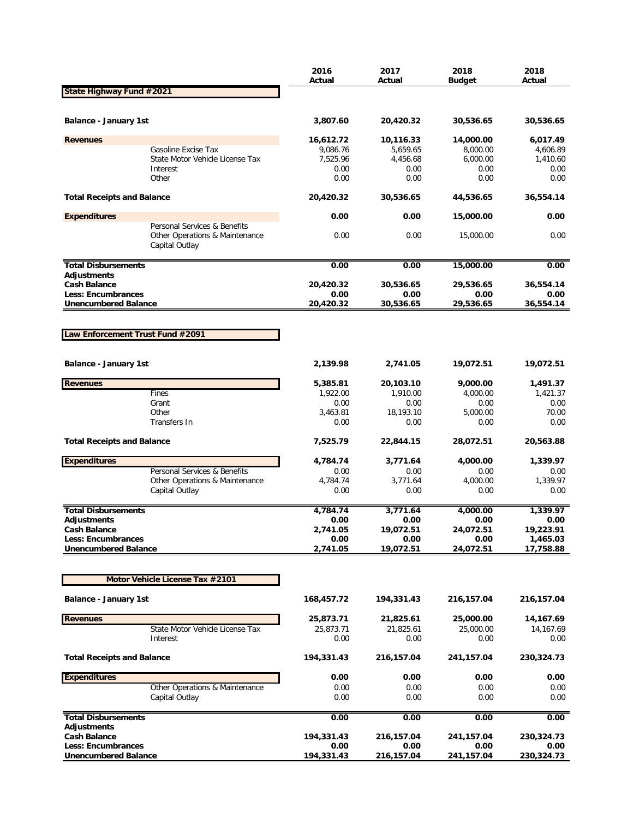|                                                          |                                                                                  | 2016<br>Actual       | 2017<br>Actual       | 2018<br><b>Budget</b> | 2018<br>Actual        |
|----------------------------------------------------------|----------------------------------------------------------------------------------|----------------------|----------------------|-----------------------|-----------------------|
| State Highway Fund #2021                                 |                                                                                  |                      |                      |                       |                       |
|                                                          |                                                                                  |                      |                      |                       |                       |
| Balance - January 1st                                    |                                                                                  | 3,807.60             | 20,420.32            | 30,536.65             | 30,536.65             |
| <b>Revenues</b>                                          |                                                                                  | 16,612.72            | 10,116.33            | 14,000.00             | 6,017.49              |
|                                                          | Gasoline Excise Tax<br>State Motor Vehicle License Tax                           | 9,086.76<br>7,525.96 | 5,659.65<br>4,456.68 | 8,000.00<br>6,000.00  | 4,606.89<br>1,410.60  |
|                                                          | Interest                                                                         | 0.00                 | 0.00                 | 0.00                  | 0.00                  |
|                                                          | Other                                                                            | 0.00                 | 0.00                 | 0.00                  | 0.00                  |
| <b>Total Receipts and Balance</b>                        |                                                                                  | 20,420.32            | 30,536.65            | 44,536.65             | 36,554.14             |
| <b>Expenditures</b>                                      |                                                                                  | 0.00                 | 0.00                 | 15,000.00             | 0.00                  |
|                                                          | Personal Services & Benefits<br>Other Operations & Maintenance<br>Capital Outlay | 0.00                 | 0.00                 | 15,000.00             | 0.00                  |
| <b>Total Disbursements</b>                               |                                                                                  | 0.00                 | 0.00                 | 15,000.00             | 0.00                  |
| <b>Adjustments</b>                                       |                                                                                  |                      |                      |                       |                       |
| <b>Cash Balance</b><br><b>Less: Encumbrances</b>         |                                                                                  | 20,420.32<br>0.00    | 30,536.65<br>0.00    | 29,536.65<br>0.00     | 36,554.14<br>0.00     |
| <b>Unencumbered Balance</b>                              |                                                                                  | 20,420.32            | 30,536.65            | 29,536.65             | 36,554.14             |
|                                                          |                                                                                  |                      |                      |                       |                       |
| Law Enforcement Trust Fund #2091                         |                                                                                  |                      |                      |                       |                       |
|                                                          |                                                                                  |                      |                      |                       |                       |
| <b>Balance - January 1st</b>                             |                                                                                  | 2,139.98             | 2,741.05             | 19,072.51             | 19,072.51             |
| <b>Revenues</b>                                          |                                                                                  | 5,385.81             | 20,103.10            | 9,000.00              | 1,491.37              |
|                                                          | Fines                                                                            | 1,922.00             | 1,910.00             | 4,000.00              | 1,421.37              |
|                                                          | Grant<br>Other                                                                   | 0.00                 | 0.00                 | 0.00                  | 0.00                  |
|                                                          | Transfers In                                                                     | 3,463.81<br>0.00     | 18,193.10<br>0.00    | 5,000.00<br>0.00      | 70.00<br>0.00         |
| <b>Total Receipts and Balance</b>                        |                                                                                  | 7,525.79             | 22,844.15            | 28,072.51             | 20,563.88             |
| <b>Expenditures</b>                                      |                                                                                  | 4,784.74             | 3,771.64             | 4,000.00              | 1,339.97              |
|                                                          | Personal Services & Benefits                                                     | 0.00                 | 0.00                 | 0.00                  | 0.00                  |
|                                                          | Other Operations & Maintenance                                                   | 4,784.74             | 3,771.64             | 4,000.00              | 1,339.97              |
|                                                          | Capital Outlay                                                                   | 0.00                 | 0.00                 | 0.00                  | 0.00                  |
| <b>Total Disbursements</b>                               |                                                                                  | 4,784.74             | 3,771.64             | 4,000.00              | 1,339.97              |
| <b>Adjustments</b>                                       |                                                                                  | 0.00                 | 0.00                 | 0.00                  | 0.00                  |
| <b>Cash Balance</b>                                      |                                                                                  | 2,741.05             | 19,072.51            | 24,072.51             | 19,223.91             |
| <b>Less: Encumbrances</b><br><b>Unencumbered Balance</b> |                                                                                  | 0.00<br>2,741.05     | 0.00<br>19,072.51    | 0.00<br>24,072.51     | 1,465.03<br>17,758.88 |
|                                                          |                                                                                  |                      |                      |                       |                       |
|                                                          | Motor Vehicle License Tax #2101                                                  |                      |                      |                       |                       |
| <b>Balance - January 1st</b>                             |                                                                                  | 168,457.72           | 194,331.43           | 216,157.04            | 216,157.04            |
| <b>Revenues</b>                                          |                                                                                  | 25,873.71            | 21,825.61            | 25,000.00             | 14,167.69             |
|                                                          | State Motor Vehicle License Tax                                                  | 25,873.71            | 21,825.61            | 25,000.00             | 14,167.69             |
|                                                          | Interest                                                                         | 0.00                 | 0.00                 | 0.00                  | 0.00                  |
| <b>Total Receipts and Balance</b>                        |                                                                                  | 194,331.43           | 216,157.04           | 241,157.04            | 230,324.73            |
| <b>Expenditures</b>                                      |                                                                                  | 0.00                 | 0.00                 | 0.00                  | 0.00                  |
|                                                          | Other Operations & Maintenance<br>Capital Outlay                                 | 0.00<br>0.00         | 0.00<br>0.00         | 0.00<br>0.00          | 0.00<br>0.00          |
| <b>Total Disbursements</b>                               |                                                                                  | 0.00                 | 0.00                 | 0.00                  | 0.00                  |
| <b>Adjustments</b><br><b>Cash Balance</b>                |                                                                                  | 194,331.43           | 216,157.04           | 241,157.04            | 230,324.73            |
| Less: Encumbrances                                       |                                                                                  | 0.00                 | 0.00                 | 0.00                  | 0.00                  |
| <b>Unencumbered Balance</b>                              |                                                                                  | 194,331.43           | 216,157.04           | 241,157.04            | 230,324.73            |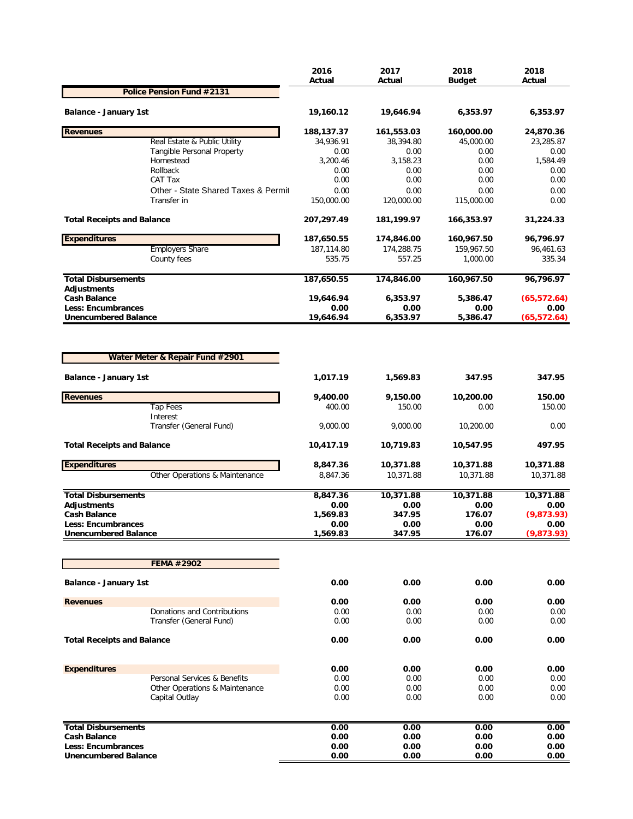|                                           |                                     | 2016<br>Actual     | 2017<br>Actual     | 2018<br><b>Budget</b> | 2018<br>Actual |
|-------------------------------------------|-------------------------------------|--------------------|--------------------|-----------------------|----------------|
|                                           | Police Pension Fund #2131           |                    |                    |                       |                |
| <b>Balance - January 1st</b>              |                                     | 19,160.12          | 19,646.94          | 6,353.97              | 6,353.97       |
| <b>Revenues</b>                           |                                     | 188,137.37         | 161,553.03         | 160,000.00            | 24,870.36      |
|                                           | Real Estate & Public Utility        | 34,936.91          | 38,394.80          | 45,000.00             | 23,285.87      |
|                                           | Tangible Personal Property          | 0.00               | 0.00               | 0.00                  | 0.00           |
|                                           | Homestead                           | 3,200.46           | 3,158.23           | 0.00                  | 1,584.49       |
|                                           | Rollback<br>CAT Tax                 | 0.00<br>0.00       | 0.00<br>0.00       | 0.00<br>0.00          | 0.00<br>0.00   |
|                                           | Other - State Shared Taxes & Permit | 0.00               | 0.00               | 0.00                  | 0.00           |
|                                           | Transfer in                         | 150,000.00         | 120,000.00         | 115,000.00            | 0.00           |
| <b>Total Receipts and Balance</b>         |                                     | 207,297.49         | 181,199.97         | 166,353.97            | 31,224.33      |
| <b>Expenditures</b>                       |                                     | 187,650.55         | 174,846.00         | 160,967.50            | 96,796.97      |
|                                           | <b>Employers Share</b>              | 187,114.80         | 174,288.75         | 159,967.50            | 96,461.63      |
|                                           | County fees                         | 535.75             | 557.25             | 1,000.00              | 335.34         |
| <b>Total Disbursements</b><br>Adjustments |                                     | 187,650.55         | 174,846.00         | 160,967.50            | 96,796.97      |
| <b>Cash Balance</b>                       |                                     | 19,646.94          | 6,353.97           | 5,386.47              | (65, 572.64)   |
| <b>Less: Encumbrances</b>                 |                                     | 0.00               | 0.00               | 0.00                  | 0.00           |
| <b>Unencumbered Balance</b>               |                                     | 19,646.94          | 6,353.97           | 5,386.47              | (65, 572.64)   |
|                                           | Water Meter & Repair Fund #2901     |                    |                    |                       |                |
| <b>Balance - January 1st</b>              |                                     | 1,017.19           | 1,569.83           | 347.95                | 347.95         |
|                                           |                                     |                    |                    |                       |                |
| <b>Revenues</b>                           | <b>Tap Fees</b>                     | 9,400.00           | 9,150.00           | 10,200.00             | 150.00         |
|                                           | Interest<br>Transfer (General Fund) | 400.00<br>9,000.00 | 150.00<br>9,000.00 | 0.00<br>10,200.00     | 150.00<br>0.00 |
| <b>Total Receipts and Balance</b>         |                                     | 10,417.19          | 10,719.83          | 10,547.95             | 497.95         |
| <b>Expenditures</b>                       |                                     | 8,847.36           | 10,371.88          | 10,371.88             | 10,371.88      |
|                                           | Other Operations & Maintenance      | 8,847.36           | 10,371.88          | 10,371.88             | 10,371.88      |
| <b>Total Disbursements</b>                |                                     | 8,847.36           | 10,371.88          | 10,371.88             | 10,371.88      |
| Adjustments                               |                                     | 0.00               | 0.00               | 0.00                  | 0.00           |
| <b>Cash Balance</b>                       |                                     | 1,569.83           | 347.95             | 176.07                | (9,873.93)     |
| <b>Less: Encumbrances</b>                 |                                     | 0.00               | 0.00               | 0.00                  | 0.00           |
| <b>Unencumbered Balance</b>               |                                     | 1,569.83           | 347.95             | 176.07                | (9,873.93)     |
|                                           | FEMA #2902                          |                    |                    |                       |                |
|                                           |                                     |                    |                    |                       |                |
| <b>Balance - January 1st</b>              |                                     | 0.00               | 0.00               | 0.00                  | 0.00           |
| <b>Revenues</b>                           |                                     | 0.00               | 0.00               | 0.00                  | 0.00           |
|                                           | Donations and Contributions         | 0.00               | 0.00               | 0.00                  | 0.00           |
|                                           | Transfer (General Fund)             | 0.00               | 0.00               | 0.00                  | 0.00           |
| <b>Total Receipts and Balance</b>         |                                     | 0.00               | 0.00               | 0.00                  | 0.00           |
| <b>Expenditures</b>                       |                                     | 0.00               | 0.00               | 0.00                  | 0.00           |
|                                           | Personal Services & Benefits        | 0.00               | 0.00               | 0.00                  | 0.00           |
|                                           | Other Operations & Maintenance      | 0.00               | 0.00               | 0.00                  | 0.00           |
|                                           | Capital Outlay                      | 0.00               | 0.00               | 0.00                  | 0.00           |
| <b>Total Disbursements</b>                |                                     | 0.00               | 0.00               | 0.00                  | 0.00           |
| <b>Cash Balance</b>                       |                                     | 0.00               | 0.00               | 0.00                  | 0.00           |
| <b>Less: Encumbrances</b>                 |                                     | 0.00               | 0.00               | 0.00                  | 0.00           |
| <b>Unencumbered Balance</b>               |                                     | 0.00               | 0.00               | 0.00                  | 0.00           |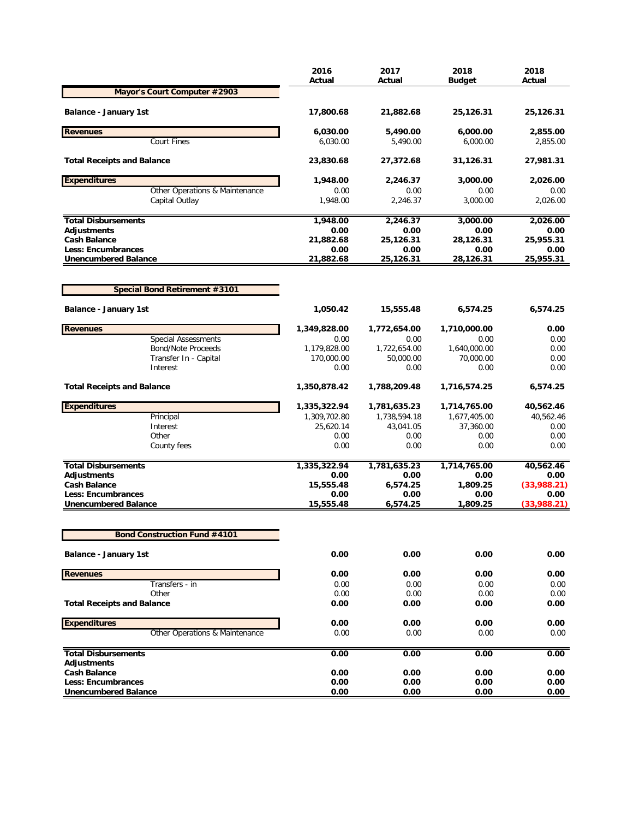|                                                          | 2016<br>Actual    | 2017<br>Actual    | 2018<br><b>Budget</b> | 2018<br>Actual      |
|----------------------------------------------------------|-------------------|-------------------|-----------------------|---------------------|
| Mayor's Court Computer #2903                             |                   |                   |                       |                     |
| <b>Balance - January 1st</b>                             | 17,800.68         | 21,882.68         | 25,126.31             | 25,126.31           |
| <b>Revenues</b>                                          | 6,030.00          | 5,490.00          | 6,000.00              | 2,855.00            |
| Court Fines                                              | 6,030.00          | 5,490.00          | 6.000.00              | 2,855.00            |
| <b>Total Receipts and Balance</b>                        | 23,830.68         | 27,372.68         | 31,126.31             | 27,981.31           |
| <b>Expenditures</b>                                      | 1,948.00          | 2,246.37          | 3,000.00              | 2,026.00            |
| Other Operations & Maintenance<br>Capital Outlay         | 0.00<br>1,948.00  | 0.00<br>2.246.37  | 0.00<br>3,000.00      | 0.00<br>2,026.00    |
|                                                          |                   |                   |                       |                     |
| <b>Total Disbursements</b>                               | 1,948.00          | 2,246.37          | 3,000.00              | 2,026.00            |
| Adjustments                                              | 0.00              | 0.00              | 0.00                  | 0.00                |
| <b>Cash Balance</b><br><b>Less: Encumbrances</b>         | 21,882.68<br>0.00 | 25,126.31<br>0.00 | 28,126.31<br>0.00     | 25,955.31<br>0.00   |
| <b>Unencumbered Balance</b>                              | 21,882.68         | 25,126.31         | 28,126.31             | 25,955.31           |
|                                                          |                   |                   |                       |                     |
| Special Bond Retirement #3101                            |                   |                   |                       |                     |
| <b>Balance - January 1st</b>                             | 1,050.42          | 15,555.48         | 6,574.25              | 6,574.25            |
| <b>Revenues</b>                                          | 1,349,828.00      | 1,772,654.00      | 1,710,000.00          | 0.00                |
| <b>Special Assessments</b>                               | 0.00              | 0.00              | 0.00                  | 0.00                |
| <b>Bond/Note Proceeds</b>                                | 1,179,828.00      | 1,722,654.00      | 1,640,000.00          | 0.00                |
| Transfer In - Capital                                    | 170,000.00        | 50,000.00         | 70,000.00             | 0.00                |
| Interest                                                 | 0.00              | 0.00              | 0.00                  | 0.00                |
| <b>Total Receipts and Balance</b>                        | 1,350,878.42      | 1,788,209.48      | 1,716,574.25          | 6,574.25            |
| <b>Expenditures</b>                                      | 1,335,322.94      | 1,781,635.23      | 1,714,765.00          | 40,562.46           |
| Principal                                                | 1,309,702.80      | 1,738,594.18      | 1,677,405.00          | 40,562.46           |
| Interest                                                 | 25,620.14         | 43,041.05         | 37,360.00             | 0.00                |
| Other                                                    | 0.00<br>0.00      | 0.00<br>0.00      | 0.00<br>0.00          | 0.00<br>0.00        |
| County fees                                              |                   |                   |                       |                     |
| <b>Total Disbursements</b>                               | 1,335,322.94      | 1,781,635.23      | 1,714,765.00          | 40,562.46           |
| Adjustments                                              | 0.00              | 0.00              | 0.00                  | 0.00                |
| <b>Cash Balance</b><br><b>Less: Encumbrances</b>         | 15,555.48<br>0.00 | 6,574.25<br>0.00  | 1,809.25<br>0.00      | (33,988.21)<br>0.00 |
| <b>Unencumbered Balance</b>                              | 15,555.48         | 6,574.25          | 1,809.25              | (33,988.21)         |
|                                                          |                   |                   |                       |                     |
| <b>Bond Construction Fund #4101</b>                      |                   |                   |                       |                     |
| <b>Balance - January 1st</b>                             | 0.00              | 0.00              | 0.00                  | 0.00                |
| <b>Revenues</b>                                          | 0.00              | 0.00              | 0.00                  | 0.00                |
| Transfers - in                                           | 0.00              | 0.00              | 0.00                  | 0.00                |
| Other<br><b>Total Receipts and Balance</b>               | 0.00<br>0.00      | 0.00<br>0.00      | 0.00<br>0.00          | 0.00<br>0.00        |
|                                                          |                   |                   |                       |                     |
| <b>Expenditures</b>                                      | 0.00              | 0.00              | 0.00                  | 0.00                |
| Other Operations & Maintenance                           | 0.00              | 0.00              | 0.00                  | 0.00                |
| <b>Total Disbursements</b>                               | 0.00              | 0.00              | 0.00                  | 0.00                |
| <b>Adjustments</b>                                       |                   |                   |                       |                     |
| <b>Cash Balance</b>                                      | 0.00              | 0.00              | 0.00                  | 0.00                |
| <b>Less: Encumbrances</b><br><b>Unencumbered Balance</b> | 0.00<br>0.00      | 0.00<br>0.00      | 0.00<br>0.00          | 0.00<br>0.00        |
|                                                          |                   |                   |                       |                     |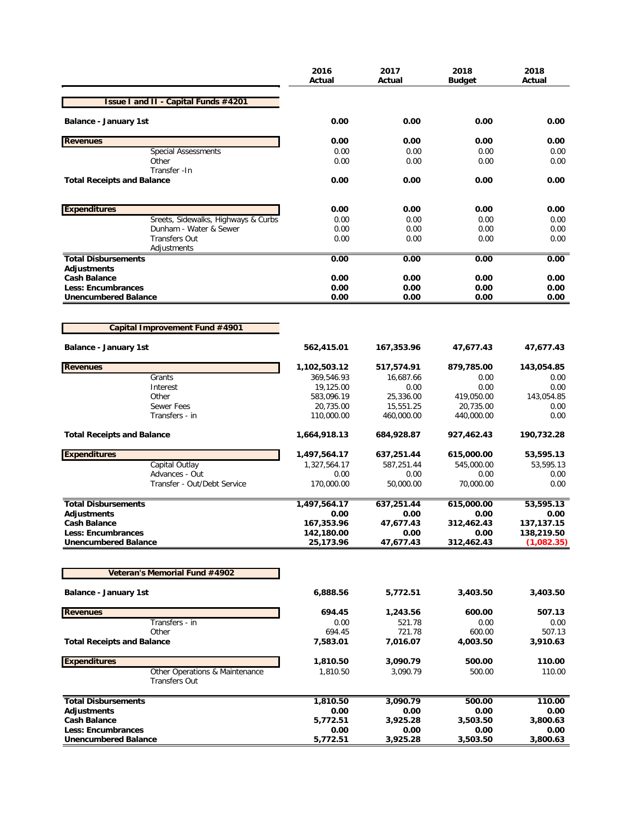|                                                          | 2016<br>Actual          | 2017<br>Actual          | 2018<br>Budget          | 2018<br>Actual           |
|----------------------------------------------------------|-------------------------|-------------------------|-------------------------|--------------------------|
| <b>Issue I and II - Capital Funds #4201</b>              |                         |                         |                         |                          |
| <b>Balance - January 1st</b>                             | 0.00                    | 0.00                    | 0.00                    | 0.00                     |
| <b>Revenues</b>                                          | 0.00                    | 0.00                    | 0.00                    | 0.00                     |
| <b>Special Assessments</b>                               | 0.00                    | 0.00                    | 0.00                    | 0.00                     |
| Other                                                    | 0.00                    | 0.00                    | 0.00                    | 0.00                     |
| Transfer - In<br><b>Total Receipts and Balance</b>       | 0.00                    | 0.00                    | 0.00                    | 0.00                     |
| <b>Expenditures</b>                                      | 0.00                    | 0.00                    | 0.00                    | 0.00                     |
| Sreets, Sidewalks, Highways & Curbs                      | 0.00                    | 0.00                    | 0.00                    | 0.00                     |
| Dunham - Water & Sewer                                   | 0.00                    | 0.00                    | 0.00                    | 0.00                     |
| <b>Transfers Out</b>                                     | 0.00                    | 0.00                    | 0.00                    | 0.00                     |
| Adjustments                                              |                         |                         |                         |                          |
| <b>Total Disbursements</b><br><b>Adjustments</b>         | 0.00                    | 0.00                    | 0.00                    | 0.00                     |
| <b>Cash Balance</b>                                      | 0.00                    | 0.00                    | 0.00                    | 0.00                     |
| Less: Encumbrances                                       | 0.00                    | 0.00                    | 0.00                    | 0.00                     |
| <b>Unencumbered Balance</b>                              | 0.00                    | 0.00                    | 0.00                    | 0.00                     |
|                                                          |                         |                         |                         |                          |
| Capital Improvement Fund #4901                           |                         |                         |                         |                          |
| <b>Balance - January 1st</b>                             | 562,415.01              | 167,353.96              | 47,677.43               | 47,677.43                |
| <b>Revenues</b>                                          | 1,102,503.12            | 517,574.91              | 879,785.00              | 143,054.85               |
| Grants                                                   | 369,546.93              | 16,687.66               | 0.00                    | 0.00                     |
| Interest                                                 | 19,125.00               | 0.00                    | 0.00                    | 0.00                     |
| Other                                                    | 583,096.19              | 25,336.00               | 419,050.00              | 143,054.85               |
| <b>Sewer Fees</b><br>Transfers - in                      | 20,735.00<br>110,000.00 | 15,551.25<br>460,000.00 | 20,735.00<br>440,000.00 | 0.00<br>0.00             |
| <b>Total Receipts and Balance</b>                        | 1,664,918.13            | 684,928.87              | 927,462.43              | 190,732.28               |
| <b>Expenditures</b>                                      | 1,497,564.17            | 637,251.44              | 615,000.00              | 53,595.13                |
| Capital Outlay                                           | 1,327,564.17            | 587,251.44              | 545,000.00              | 53,595.13                |
| Advances - Out                                           | 0.00                    | 0.00                    | 0.00                    | 0.00                     |
| Transfer - Out/Debt Service                              | 170,000.00              | 50,000.00               | 70,000.00               | 0.00                     |
| <b>Total Disbursements</b>                               | 1,497,564.17            | 637,251.44              | 615,000.00              | 53,595.13                |
| <b>Adiustments</b>                                       | 0.00                    | 0.00                    | 0.00                    | 0.00                     |
| <b>Cash Balance</b>                                      | 167,353.96              | 47,677.43               | 312,462.43              | 137,137.15               |
| <b>Less: Encumbrances</b><br><b>Unencumbered Balance</b> | 142,180.00<br>25,173.96 | 0.00<br>47,677.43       | 0.00<br>312,462.43      | 138,219.50<br>(1,082.35) |
|                                                          |                         |                         |                         |                          |
| Veteran's Memorial Fund #4902                            |                         |                         |                         |                          |
| <b>Balance - January 1st</b>                             | 6,888.56                | 5,772.51                | 3,403.50                | 3,403.50                 |
| <b>Revenues</b>                                          | 694.45                  | 1,243.56                | 600.00                  | 507.13                   |
| Transfers - in                                           | 0.00                    | 521.78                  | 0.00                    | 0.00                     |
| Other                                                    | 694.45                  | 721.78                  | 600.00                  | 507.13                   |
| <b>Total Receipts and Balance</b>                        | 7,583.01                | 7,016.07                | 4,003.50                | 3,910.63                 |
| <b>Expenditures</b>                                      | 1,810.50                | 3,090.79                | 500.00                  | 110.00                   |
| Other Operations & Maintenance<br><b>Transfers Out</b>   | 1,810.50                | 3,090.79                | 500.00                  | 110.00                   |
| <b>Total Disbursements</b>                               | 1,810.50                | 3,090.79                | 500.00                  | 110.00                   |
| <b>Adjustments</b>                                       | 0.00                    | 0.00                    | 0.00                    | 0.00                     |
| <b>Cash Balance</b>                                      | 5,772.51                | 3,925.28                | 3,503.50                | 3,800.63                 |
| <b>Less: Encumbrances</b>                                | 0.00                    | 0.00                    | 0.00                    | 0.00                     |
| <b>Unencumbered Balance</b>                              | 5,772.51                | 3,925.28                | 3,503.50                | 3,800.63                 |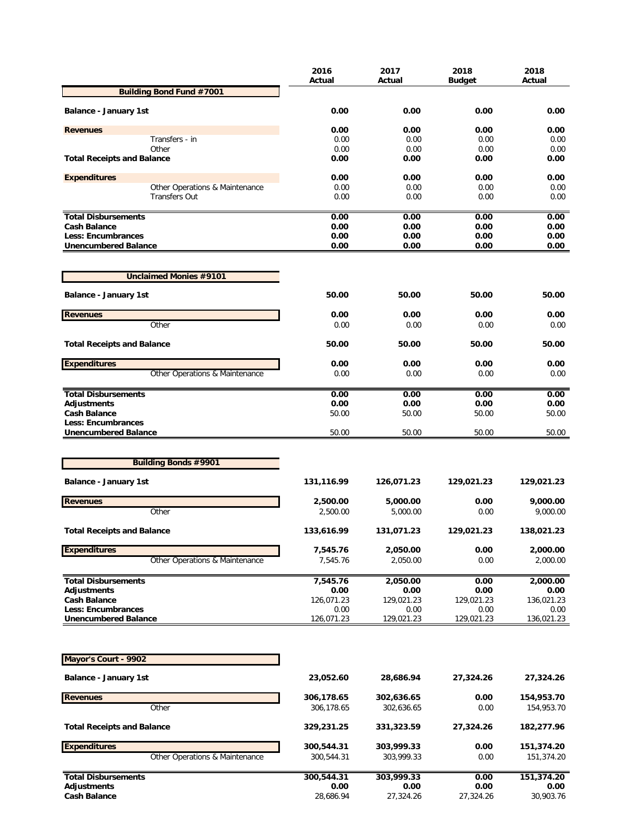|                                                  | 2016<br>Actual   | 2017<br>Actual   | 2018<br><b>Budget</b> | 2018<br>Actual   |
|--------------------------------------------------|------------------|------------------|-----------------------|------------------|
| <b>Building Bond Fund #7001</b>                  |                  |                  |                       |                  |
| <b>Balance - January 1st</b>                     | 0.00             | 0.00             | 0.00                  | 0.00             |
| <b>Revenues</b>                                  | 0.00             | 0.00             | 0.00                  | 0.00             |
| Transfers - in                                   | 0.00             | 0.00             | 0.00                  | 0.00             |
| Other                                            | 0.00             | 0.00             | 0.00                  | 0.00             |
| <b>Total Receipts and Balance</b>                | 0.00             | 0.00             | 0.00                  | 0.00             |
| <b>Expenditures</b>                              | 0.00             | 0.00             | 0.00                  | 0.00             |
| Other Operations & Maintenance                   | 0.00             | 0.00             | 0.00                  | 0.00             |
| <b>Transfers Out</b>                             | 0.00             | 0.00             | 0.00                  | 0.00             |
| <b>Total Disbursements</b>                       | 0.00             | 0.00             | 0.00                  | 0.00             |
| <b>Cash Balance</b>                              | 0.00             | 0.00             | 0.00                  | 0.00             |
| Less: Encumbrances                               | 0.00             | 0.00             | 0.00                  | 0.00             |
| <b>Unencumbered Balance</b>                      | 0.00             | 0.00             | 0.00                  | 0.00             |
| <b>Unclaimed Monies #9101</b>                    |                  |                  |                       |                  |
|                                                  |                  |                  |                       |                  |
| <b>Balance - January 1st</b>                     | 50.00            | 50.00            | 50.00                 | 50.00            |
| <b>Revenues</b>                                  | 0.00             | 0.00             | 0.00                  | 0.00             |
| Other                                            | 0.00             | 0.00             | 0.00                  | 0.00             |
| <b>Total Receipts and Balance</b>                | 50.00            | 50.00            | 50.00                 | 50.00            |
| <b>Expenditures</b>                              | 0.00             | 0.00             | 0.00                  | 0.00             |
| Other Operations & Maintenance                   | 0.00             | 0.00             | 0.00                  | 0.00             |
| <b>Total Disbursements</b>                       | 0.00             | 0.00             | 0.00                  | 0.00             |
| <b>Adjustments</b>                               | 0.00             | 0.00             | 0.00                  | 0.00             |
| <b>Cash Balance</b>                              | 50.00            | 50.00            | 50.00                 | 50.00            |
| Less: Encumbrances                               |                  |                  |                       |                  |
| <b>Unencumbered Balance</b>                      | 50.00            | 50.00            | 50.00                 | 50.00            |
|                                                  |                  |                  |                       |                  |
| <b>Building Bonds #9901</b>                      |                  |                  |                       |                  |
| <b>Balance - January 1st</b>                     | 131,116.99       | 126,071.23       | 129,021.23            | 129,021.23       |
| <b>Revenues</b>                                  | 2,500.00         | 5,000.00         | 0.00                  | 9,000.00         |
| Other                                            | 2,500.00         | 5,000.00         | 0.00                  | 9,000.00         |
| <b>Total Receipts and Balance</b>                | 133,616.99       | 131,071.23       | 129,021.23            | 138,021.23       |
| <b>Expenditures</b>                              | 7,545.76         | 2,050.00         | 0.00                  | 2,000.00         |
| Other Operations & Maintenance                   | 7,545.76         | 2,050.00         | 0.00                  | 2,000.00         |
|                                                  |                  |                  |                       |                  |
| <b>Total Disbursements</b><br><b>Adjustments</b> | 7,545.76<br>0.00 | 2,050.00<br>0.00 | 0.00<br>0.00          | 2,000.00<br>0.00 |
| <b>Cash Balance</b>                              | 126,071.23       | 129,021.23       | 129,021.23            | 136,021.23       |
| <b>Less: Encumbrances</b>                        | 0.00             | 0.00             | 0.00                  | 0.00             |
| <b>Unencumbered Balance</b>                      | 126,071.23       | 129,021.23       | 129,021.23            | 136,021.23       |
|                                                  |                  |                  |                       |                  |
| Mayor's Court - 9902                             |                  |                  |                       |                  |
| <b>Balance - January 1st</b>                     | 23,052.60        | 28,686.94        | 27,324.26             | 27,324.26        |
| <b>Revenues</b>                                  | 306,178.65       | 302,636.65       | 0.00                  | 154,953.70       |
| Other                                            | 306,178.65       | 302,636.65       | 0.00                  | 154,953.70       |
|                                                  |                  |                  |                       |                  |
| <b>Total Receipts and Balance</b>                | 329,231.25       | 331,323.59       | 27,324.26             | 182,277.96       |
| <b>Expenditures</b>                              | 300,544.31       | 303,999.33       | 0.00                  | 151,374.20       |
| Other Operations & Maintenance                   | 300,544.31       | 303,999.33       | 0.00                  | 151,374.20       |
| <b>Total Disbursements</b>                       | 300,544.31       | 303,999.33       | 0.00                  | 151,374.20       |
| <b>Adjustments</b>                               | 0.00             | 0.00             | 0.00                  | 0.00             |
| <b>Cash Balance</b>                              | 28,686.94        | 27,324.26        | 27,324.26             | 30,903.76        |